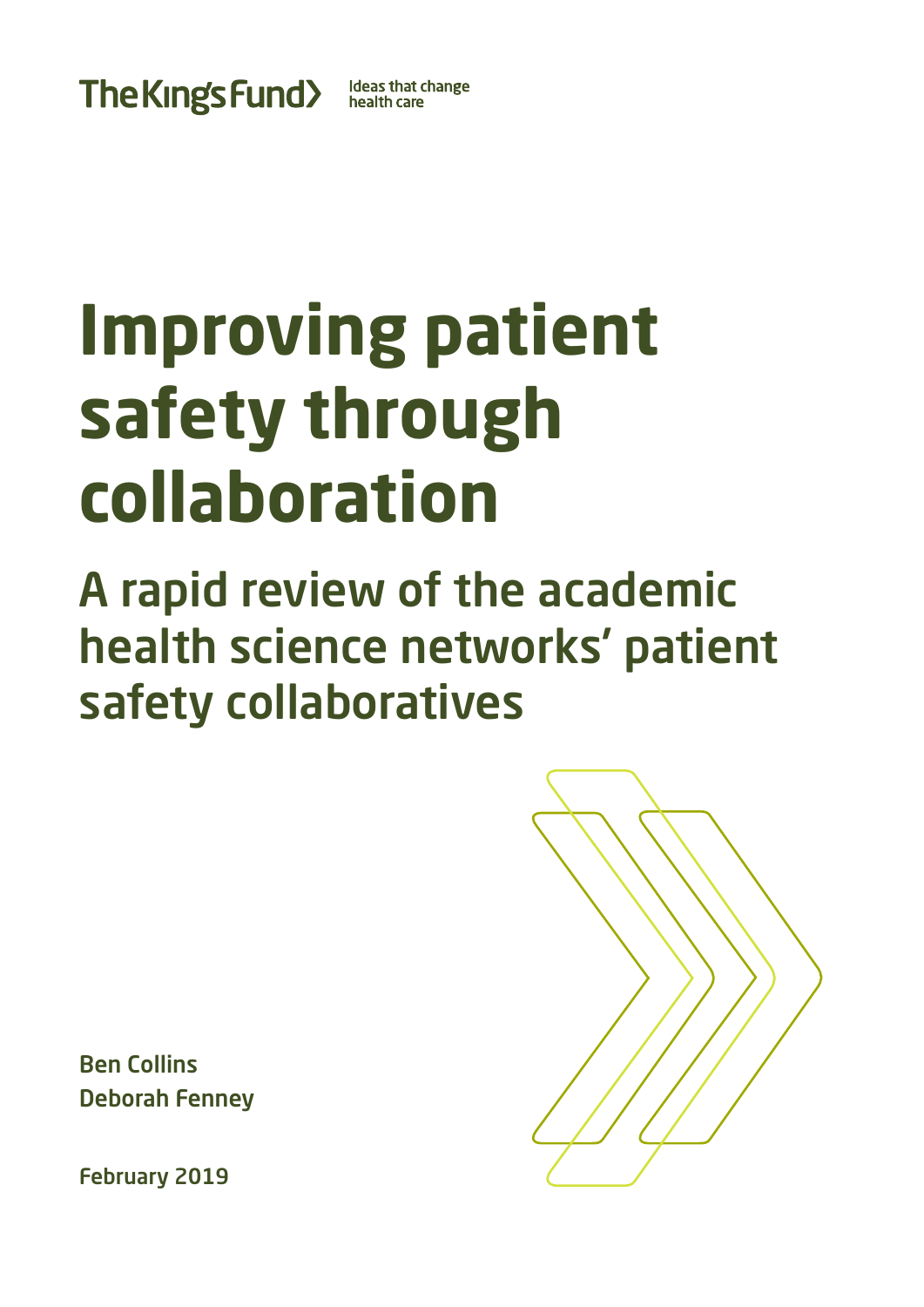The Kings Fund>

**Ideas that change** health care

# **Improving patient safety through collaboration**

A rapid review of the academic health science networks' patient safety collaboratives

Ben Collins Deborah Fenney

February 2019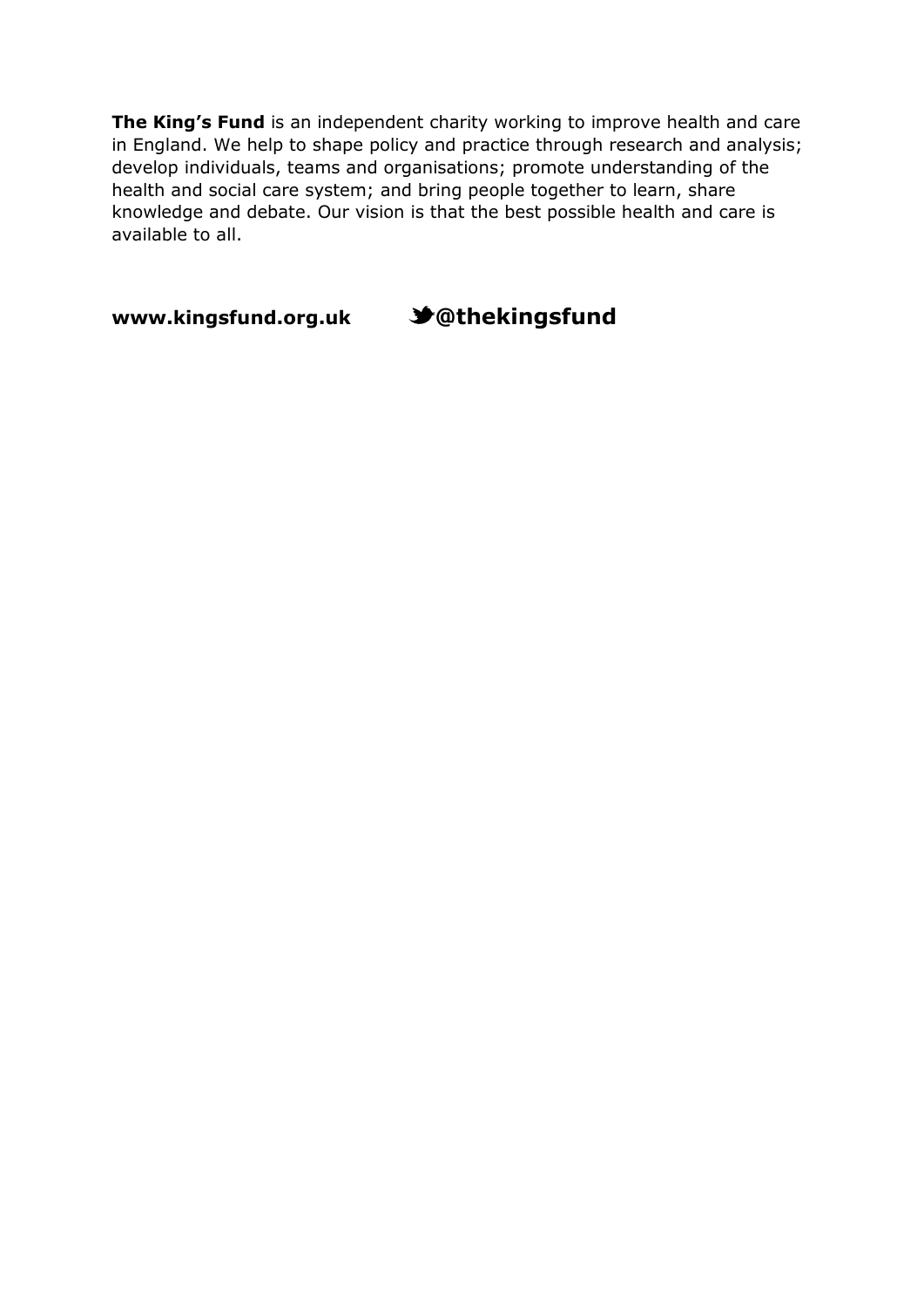**The King's Fund** is an independent charity working to improve health and care in England. We help to shape policy and practice through research and analysis; develop individuals, teams and organisations; promote understanding of the health and social care system; and bring people together to learn, share knowledge and debate. Our vision is that the best possible health and care is available to all.

**[www.kingsfund.org.uk](http://www.kingsfund.org.uk/) @thekingsfund**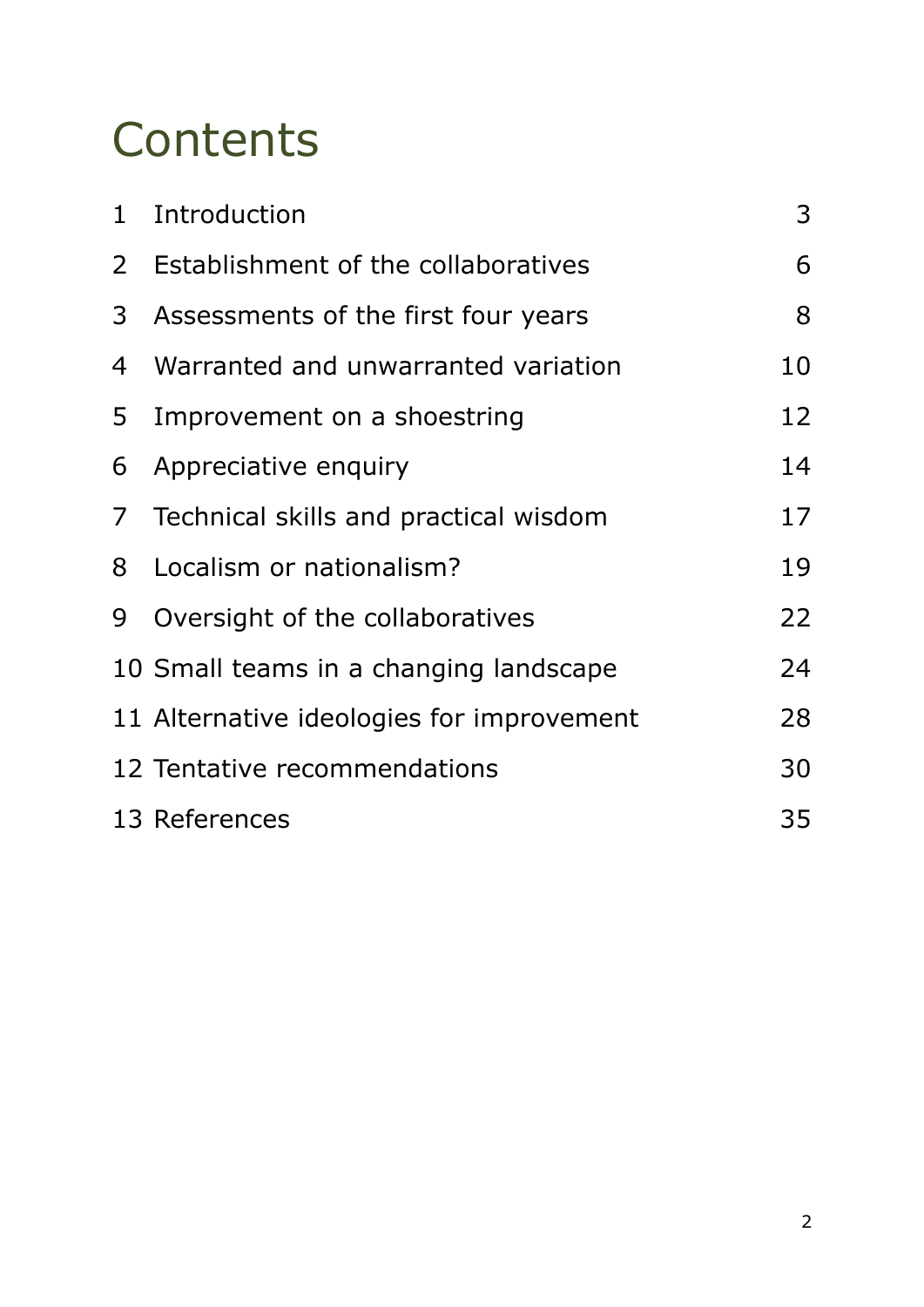## **Contents**

| $\mathbf{1}$   | Introduction                              | 3  |
|----------------|-------------------------------------------|----|
| $\mathsf{2}^-$ | Establishment of the collaboratives       | 6  |
| 3              | Assessments of the first four years       | 8  |
| 4              | Warranted and unwarranted variation       | 10 |
| 5              | Improvement on a shoestring               | 12 |
| 6              | Appreciative enquiry                      | 14 |
| 7 <sup>7</sup> | Technical skills and practical wisdom     | 17 |
| 8              | Localism or nationalism?                  | 19 |
| 9              | Oversight of the collaboratives           | 22 |
|                | 10 Small teams in a changing landscape    | 24 |
|                | 11 Alternative ideologies for improvement | 28 |
|                | 12 Tentative recommendations              | 30 |
|                | 13 References                             | 35 |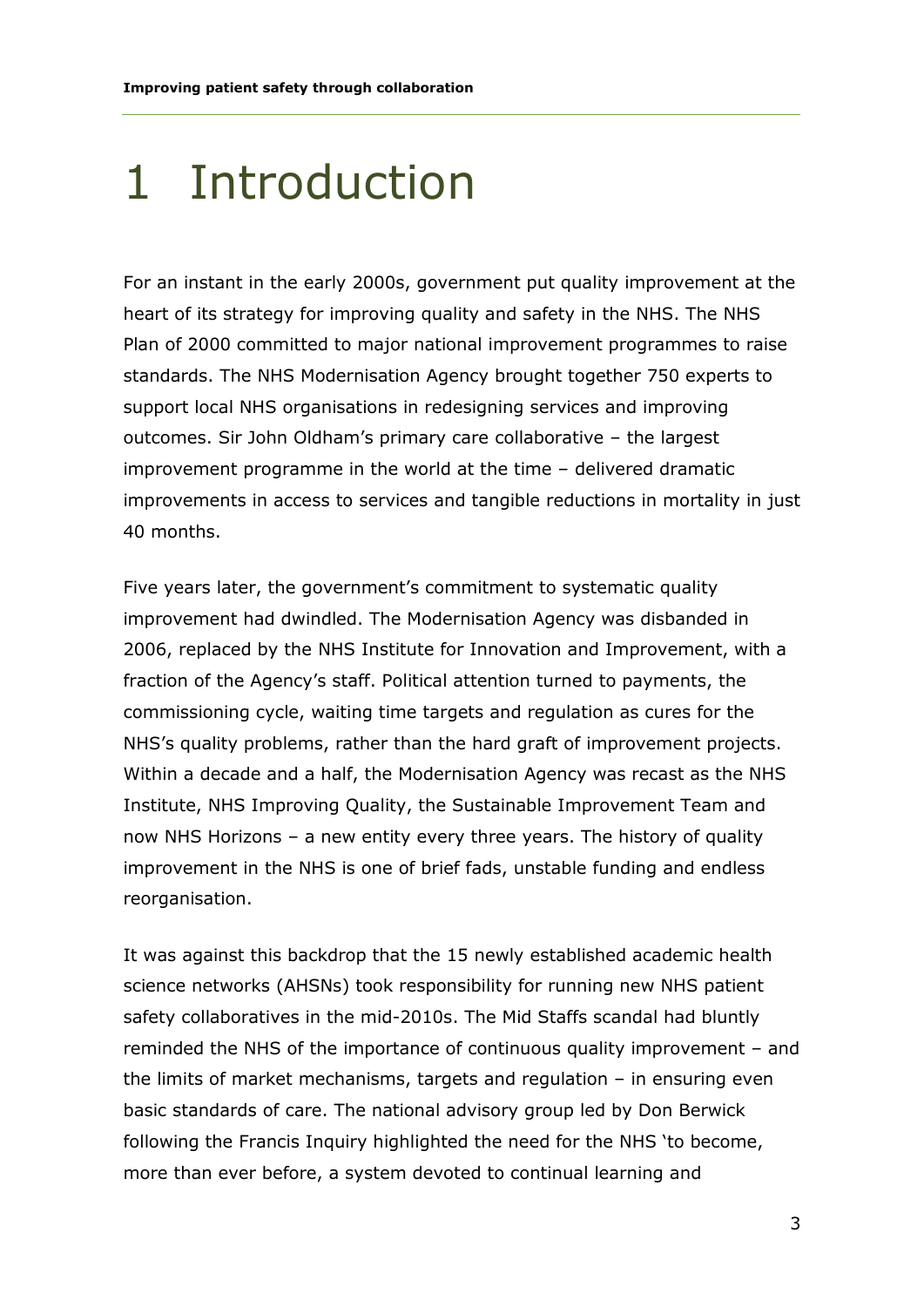### 1 Introduction

For an instant in the early 2000s, government put quality improvement at the heart of its strategy for improving quality and safety in the NHS. The NHS Plan of 2000 committed to major national improvement programmes to raise standards. The NHS Modernisation Agency brought together 750 experts to support local NHS organisations in redesigning services and improving outcomes. Sir John Oldham's primary care collaborative – the largest improvement programme in the world at the time – delivered dramatic improvements in access to services and tangible reductions in mortality in just 40 months.

Five years later, the government's commitment to systematic quality improvement had dwindled. The Modernisation Agency was disbanded in 2006, replaced by the NHS Institute for Innovation and Improvement, with a fraction of the Agency's staff. Political attention turned to payments, the commissioning cycle, waiting time targets and regulation as cures for the NHS's quality problems, rather than the hard graft of improvement projects. Within a decade and a half, the Modernisation Agency was recast as the NHS Institute, NHS Improving Quality, the Sustainable Improvement Team and now NHS Horizons – a new entity every three years. The history of quality improvement in the NHS is one of brief fads, unstable funding and endless reorganisation.

It was against this backdrop that the 15 newly established academic health science networks (AHSNs) took responsibility for running new NHS patient safety collaboratives in the mid-2010s. The Mid Staffs scandal had bluntly reminded the NHS of the importance of continuous quality improvement – and the limits of market mechanisms, targets and regulation – in ensuring even basic standards of care. The national advisory group led by Don Berwick following the Francis Inquiry highlighted the need for the NHS 'to become, more than ever before, a system devoted to continual learning and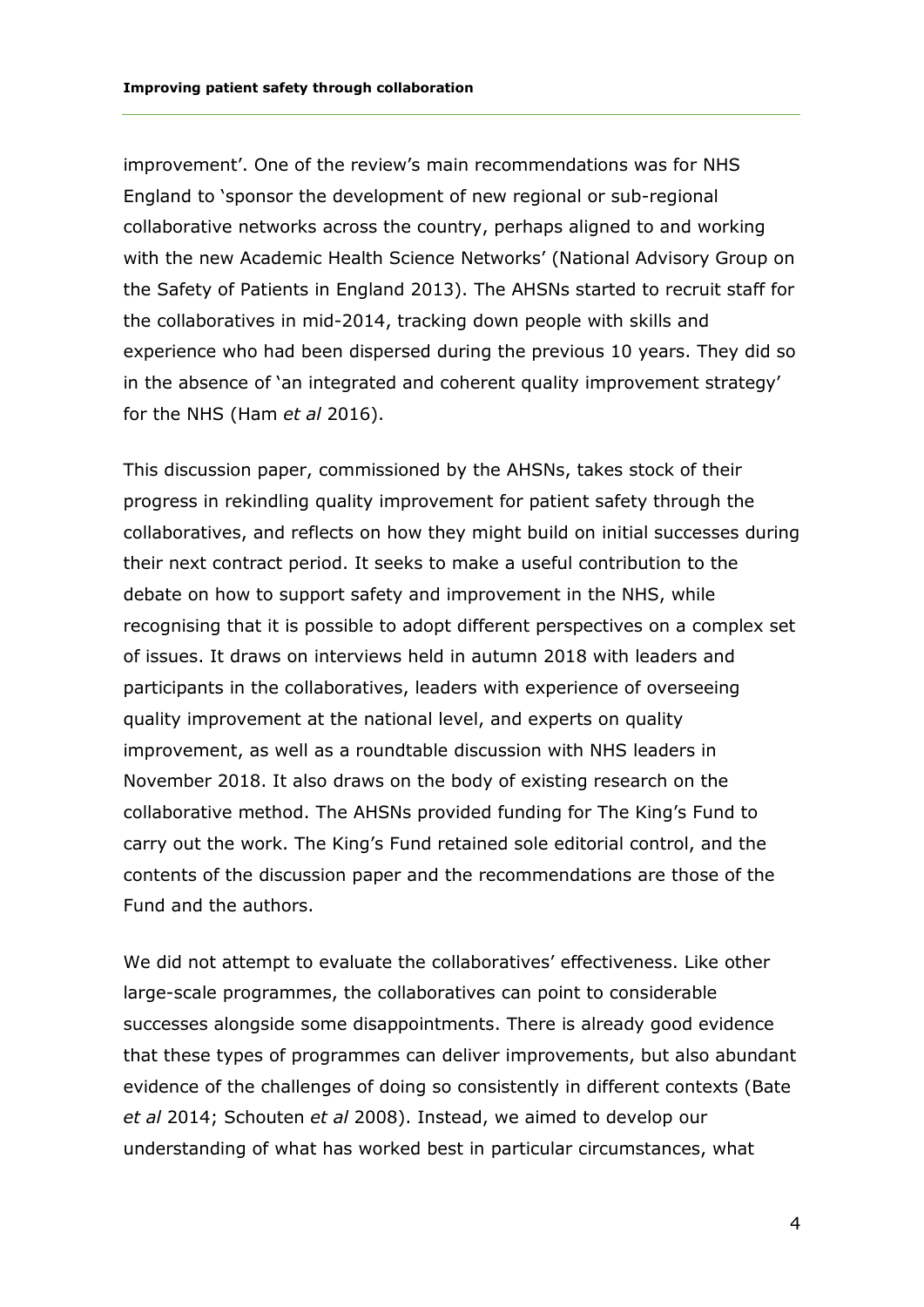improvement'. One of the review's main recommendations was for NHS England to 'sponsor the development of new regional or sub-regional collaborative networks across the country, perhaps aligned to and working with the new Academic Health Science Networks' (National Advisory Group on the Safety of Patients in England 2013). The AHSNs started to recruit staff for the collaboratives in mid-2014, tracking down people with skills and experience who had been dispersed during the previous 10 years. They did so in the absence of 'an integrated and coherent quality improvement strategy' for the NHS (Ham *et al* 2016).

This discussion paper, commissioned by the AHSNs, takes stock of their progress in rekindling quality improvement for patient safety through the collaboratives, and reflects on how they might build on initial successes during their next contract period. It seeks to make a useful contribution to the debate on how to support safety and improvement in the NHS, while recognising that it is possible to adopt different perspectives on a complex set of issues. It draws on interviews held in autumn 2018 with leaders and participants in the collaboratives, leaders with experience of overseeing quality improvement at the national level, and experts on quality improvement, as well as a roundtable discussion with NHS leaders in November 2018. It also draws on the body of existing research on the collaborative method. The AHSNs provided funding for The King's Fund to carry out the work. The King's Fund retained sole editorial control, and the contents of the discussion paper and the recommendations are those of the Fund and the authors.

We did not attempt to evaluate the collaboratives' effectiveness. Like other large-scale programmes, the collaboratives can point to considerable successes alongside some disappointments. There is already good evidence that these types of programmes can deliver improvements, but also abundant evidence of the challenges of doing so consistently in different contexts (Bate *et al* 2014; Schouten *et al* 2008). Instead, we aimed to develop our understanding of what has worked best in particular circumstances, what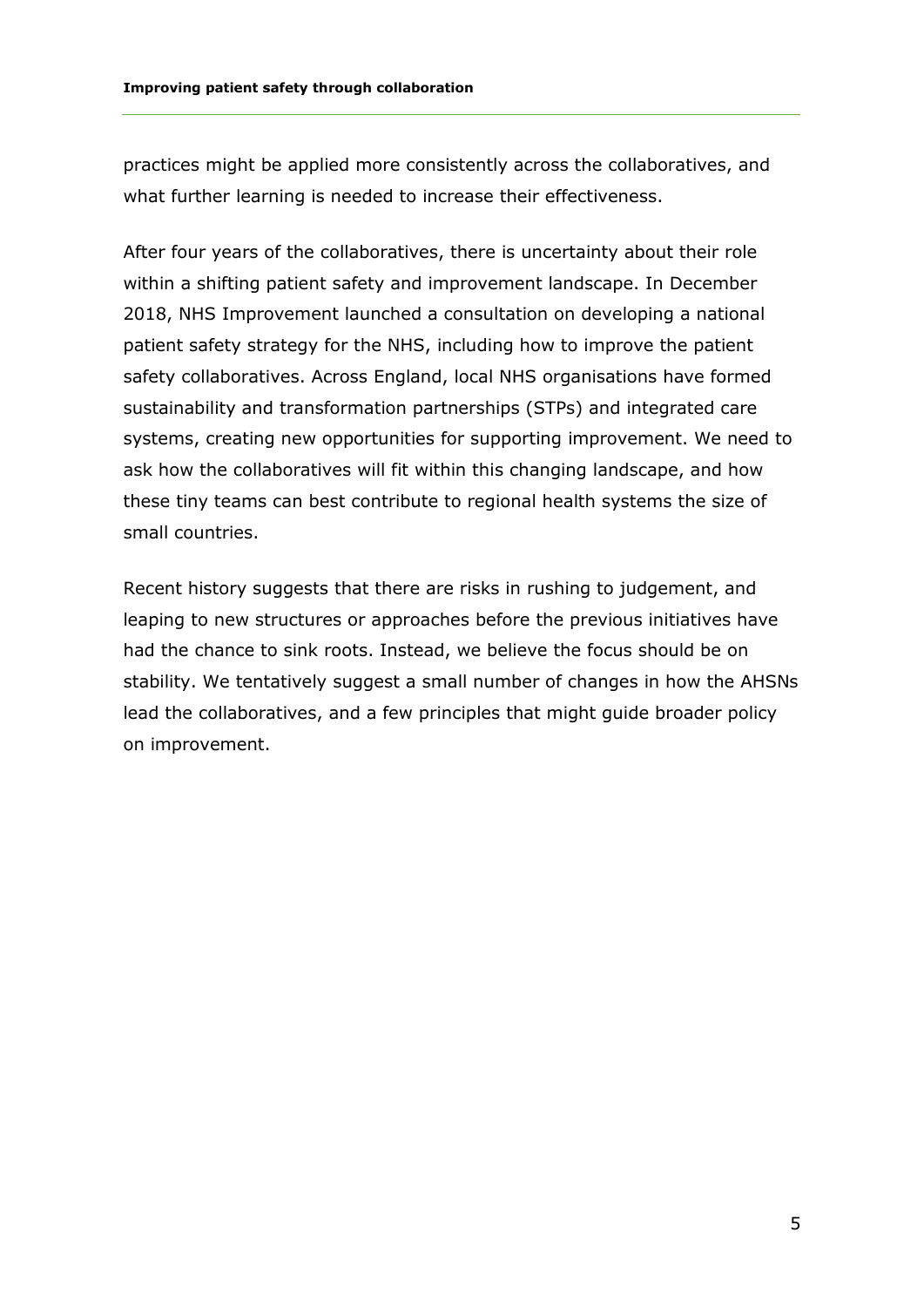practices might be applied more consistently across the collaboratives, and what further learning is needed to increase their effectiveness.

After four years of the collaboratives, there is uncertainty about their role within a shifting patient safety and improvement landscape. In December 2018, NHS Improvement launched a consultation on developing a national patient safety strategy for the NHS, including how to improve the patient safety collaboratives. Across England, local NHS organisations have formed sustainability and transformation partnerships (STPs) and integrated care systems, creating new opportunities for supporting improvement. We need to ask how the collaboratives will fit within this changing landscape, and how these tiny teams can best contribute to regional health systems the size of small countries.

Recent history suggests that there are risks in rushing to judgement, and leaping to new structures or approaches before the previous initiatives have had the chance to sink roots. Instead, we believe the focus should be on stability. We tentatively suggest a small number of changes in how the AHSNs lead the collaboratives, and a few principles that might guide broader policy on improvement.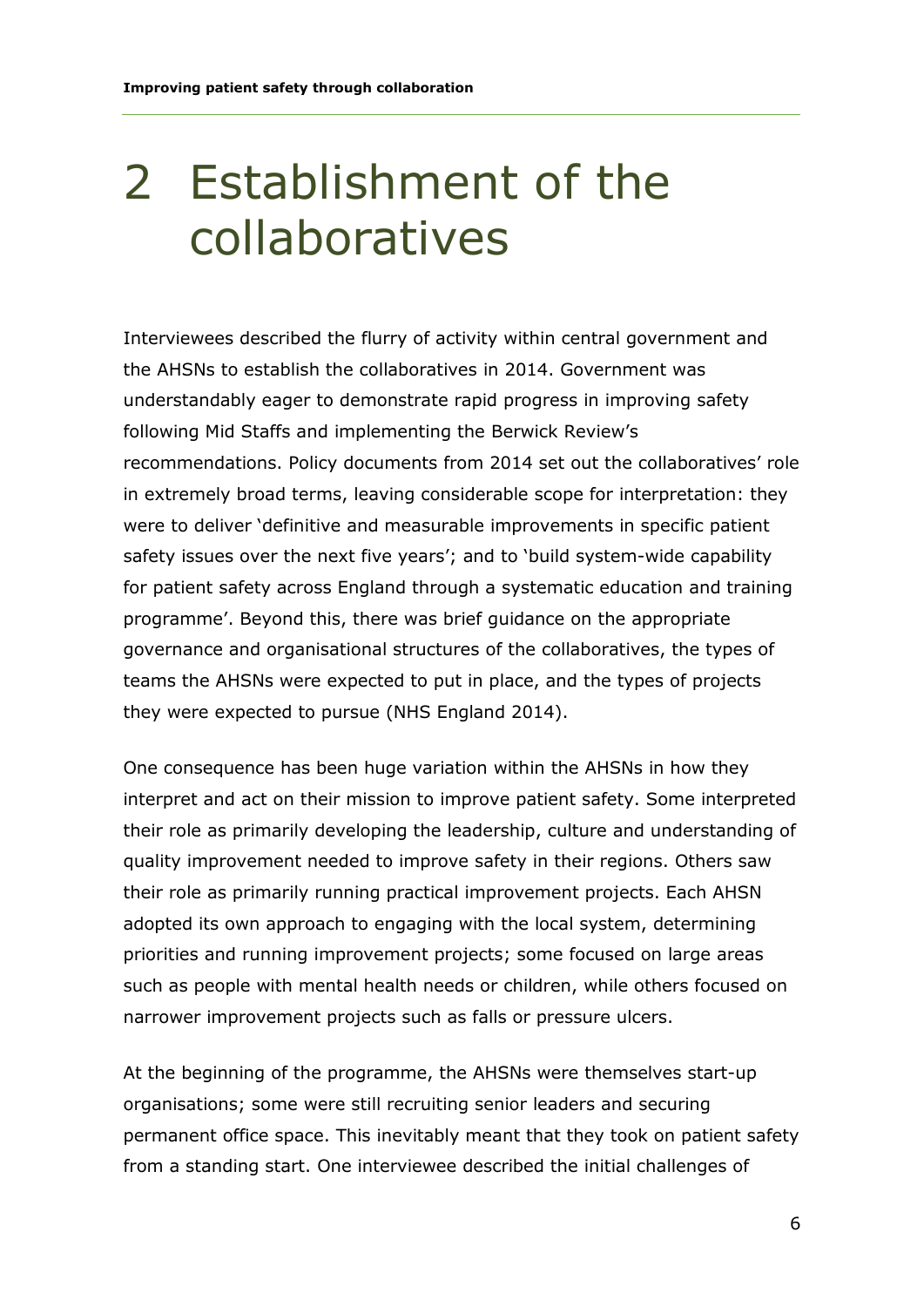### 2 Establishment of the collaboratives

Interviewees described the flurry of activity within central government and the AHSNs to establish the collaboratives in 2014. Government was understandably eager to demonstrate rapid progress in improving safety following Mid Staffs and implementing the Berwick Review's recommendations. Policy documents from 2014 set out the collaboratives' role in extremely broad terms, leaving considerable scope for interpretation: they were to deliver 'definitive and measurable improvements in specific patient safety issues over the next five years'; and to 'build system-wide capability for patient safety across England through a systematic education and training programme'. Beyond this, there was brief guidance on the appropriate governance and organisational structures of the collaboratives, the types of teams the AHSNs were expected to put in place, and the types of projects they were expected to pursue (NHS England 2014).

One consequence has been huge variation within the AHSNs in how they interpret and act on their mission to improve patient safety. Some interpreted their role as primarily developing the leadership, culture and understanding of quality improvement needed to improve safety in their regions. Others saw their role as primarily running practical improvement projects. Each AHSN adopted its own approach to engaging with the local system, determining priorities and running improvement projects; some focused on large areas such as people with mental health needs or children, while others focused on narrower improvement projects such as falls or pressure ulcers.

At the beginning of the programme, the AHSNs were themselves start-up organisations; some were still recruiting senior leaders and securing permanent office space. This inevitably meant that they took on patient safety from a standing start. One interviewee described the initial challenges of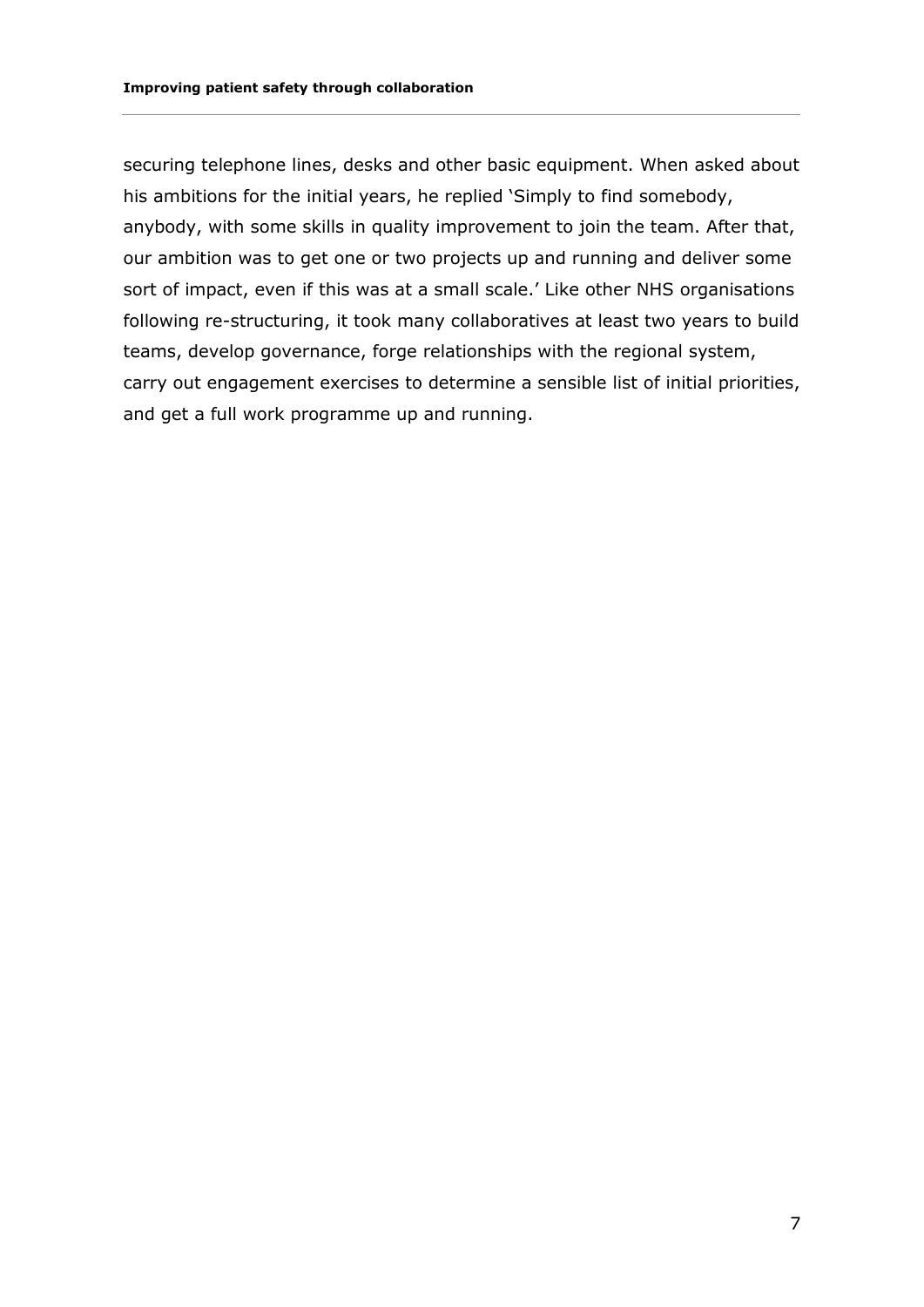securing telephone lines, desks and other basic equipment. When asked about his ambitions for the initial years, he replied 'Simply to find somebody, anybody, with some skills in quality improvement to join the team. After that, our ambition was to get one or two projects up and running and deliver some sort of impact, even if this was at a small scale.' Like other NHS organisations following re-structuring, it took many collaboratives at least two years to build teams, develop governance, forge relationships with the regional system, carry out engagement exercises to determine a sensible list of initial priorities, and get a full work programme up and running.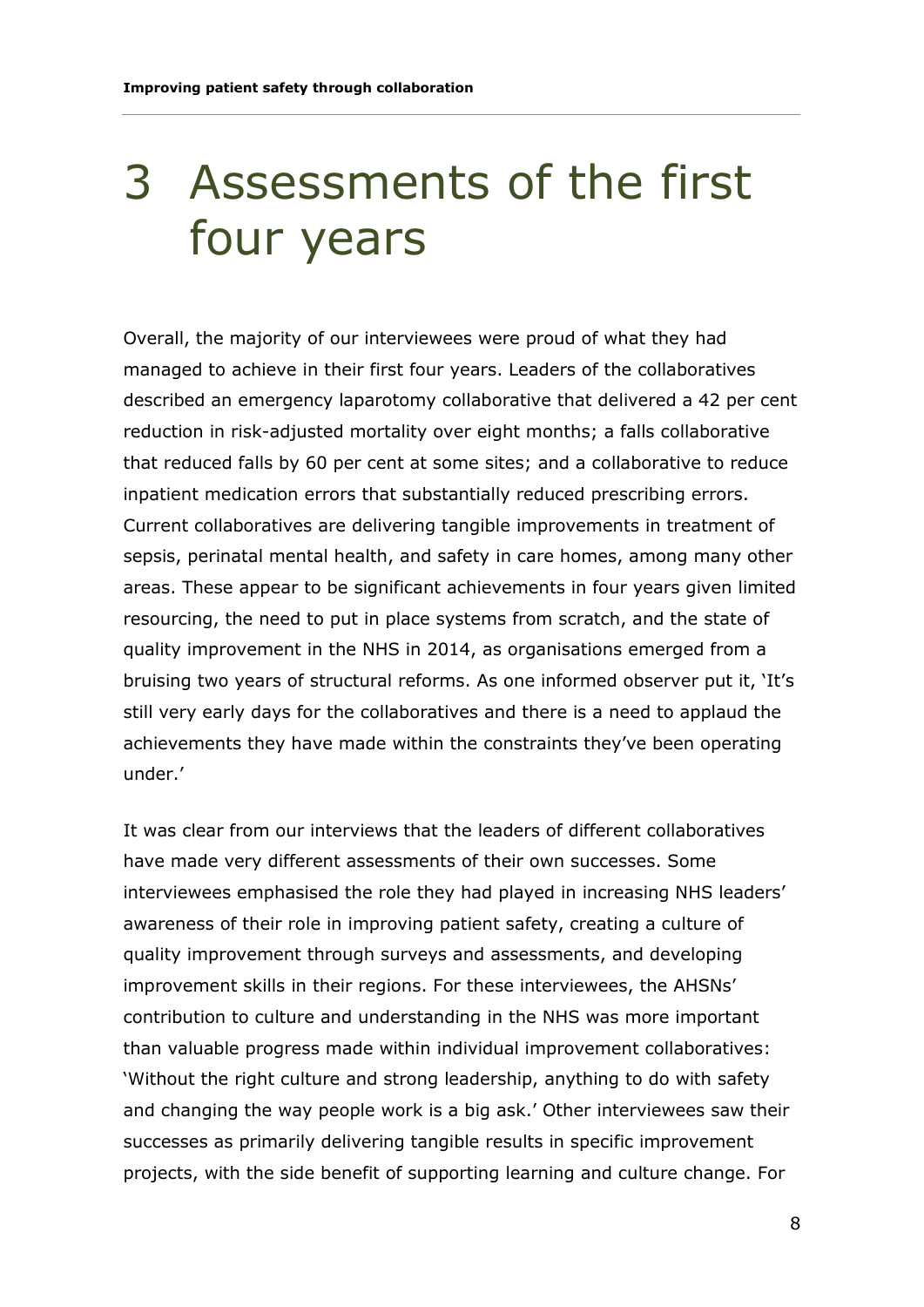### 3 Assessments of the first four years

Overall, the majority of our interviewees were proud of what they had managed to achieve in their first four years. Leaders of the collaboratives described an emergency laparotomy collaborative that delivered a 42 per cent reduction in risk-adjusted mortality over eight months; a falls collaborative that reduced falls by 60 per cent at some sites; and a collaborative to reduce inpatient medication errors that substantially reduced prescribing errors. Current collaboratives are delivering tangible improvements in treatment of sepsis, perinatal mental health, and safety in care homes, among many other areas. These appear to be significant achievements in four years given limited resourcing, the need to put in place systems from scratch, and the state of quality improvement in the NHS in 2014, as organisations emerged from a bruising two years of structural reforms. As one informed observer put it, 'It's still very early days for the collaboratives and there is a need to applaud the achievements they have made within the constraints they've been operating under.'

It was clear from our interviews that the leaders of different collaboratives have made very different assessments of their own successes. Some interviewees emphasised the role they had played in increasing NHS leaders' awareness of their role in improving patient safety, creating a culture of quality improvement through surveys and assessments, and developing improvement skills in their regions. For these interviewees, the AHSNs' contribution to culture and understanding in the NHS was more important than valuable progress made within individual improvement collaboratives: 'Without the right culture and strong leadership, anything to do with safety and changing the way people work is a big ask.' Other interviewees saw their successes as primarily delivering tangible results in specific improvement projects, with the side benefit of supporting learning and culture change. For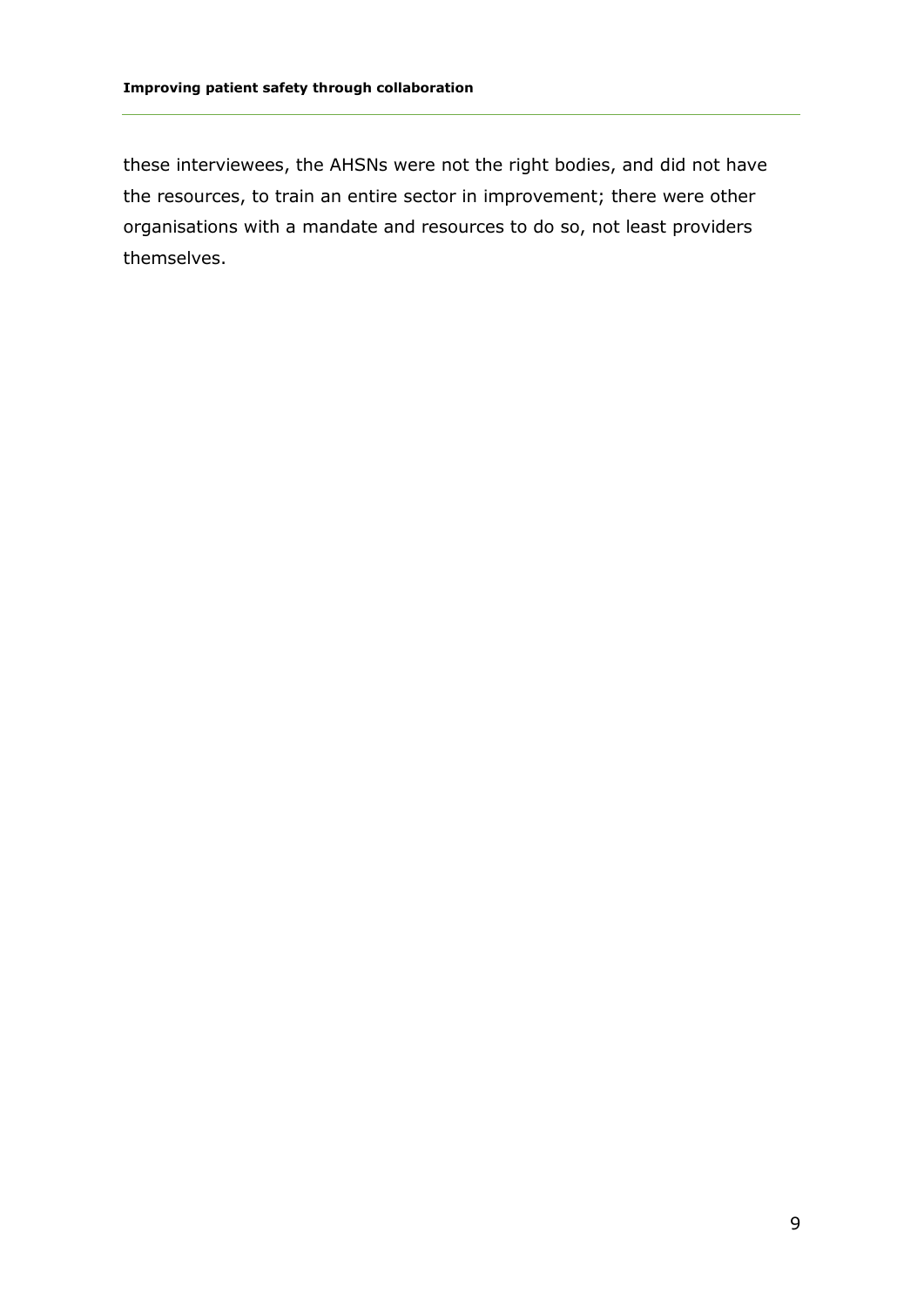these interviewees, the AHSNs were not the right bodies, and did not have the resources, to train an entire sector in improvement; there were other organisations with a mandate and resources to do so, not least providers themselves.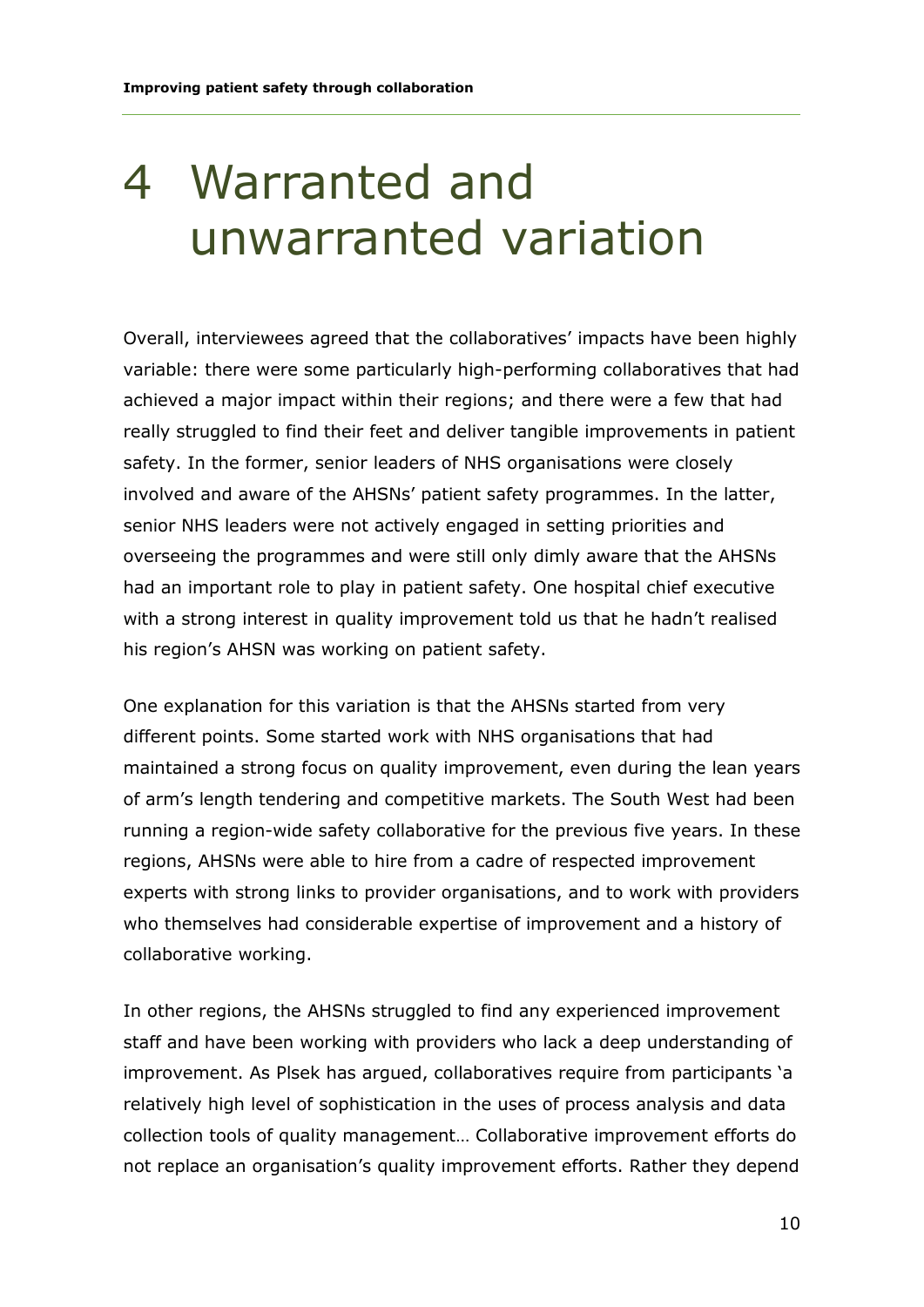### 4 Warranted and unwarranted variation

Overall, interviewees agreed that the collaboratives' impacts have been highly variable: there were some particularly high-performing collaboratives that had achieved a major impact within their regions; and there were a few that had really struggled to find their feet and deliver tangible improvements in patient safety. In the former, senior leaders of NHS organisations were closely involved and aware of the AHSNs' patient safety programmes. In the latter, senior NHS leaders were not actively engaged in setting priorities and overseeing the programmes and were still only dimly aware that the AHSNs had an important role to play in patient safety. One hospital chief executive with a strong interest in quality improvement told us that he hadn't realised his region's AHSN was working on patient safety.

One explanation for this variation is that the AHSNs started from very different points. Some started work with NHS organisations that had maintained a strong focus on quality improvement, even during the lean years of arm's length tendering and competitive markets. The South West had been running a region-wide safety collaborative for the previous five years. In these regions, AHSNs were able to hire from a cadre of respected improvement experts with strong links to provider organisations, and to work with providers who themselves had considerable expertise of improvement and a history of collaborative working.

In other regions, the AHSNs struggled to find any experienced improvement staff and have been working with providers who lack a deep understanding of improvement. As Plsek has argued, collaboratives require from participants 'a relatively high level of sophistication in the uses of process analysis and data collection tools of quality management… Collaborative improvement efforts do not replace an organisation's quality improvement efforts. Rather they depend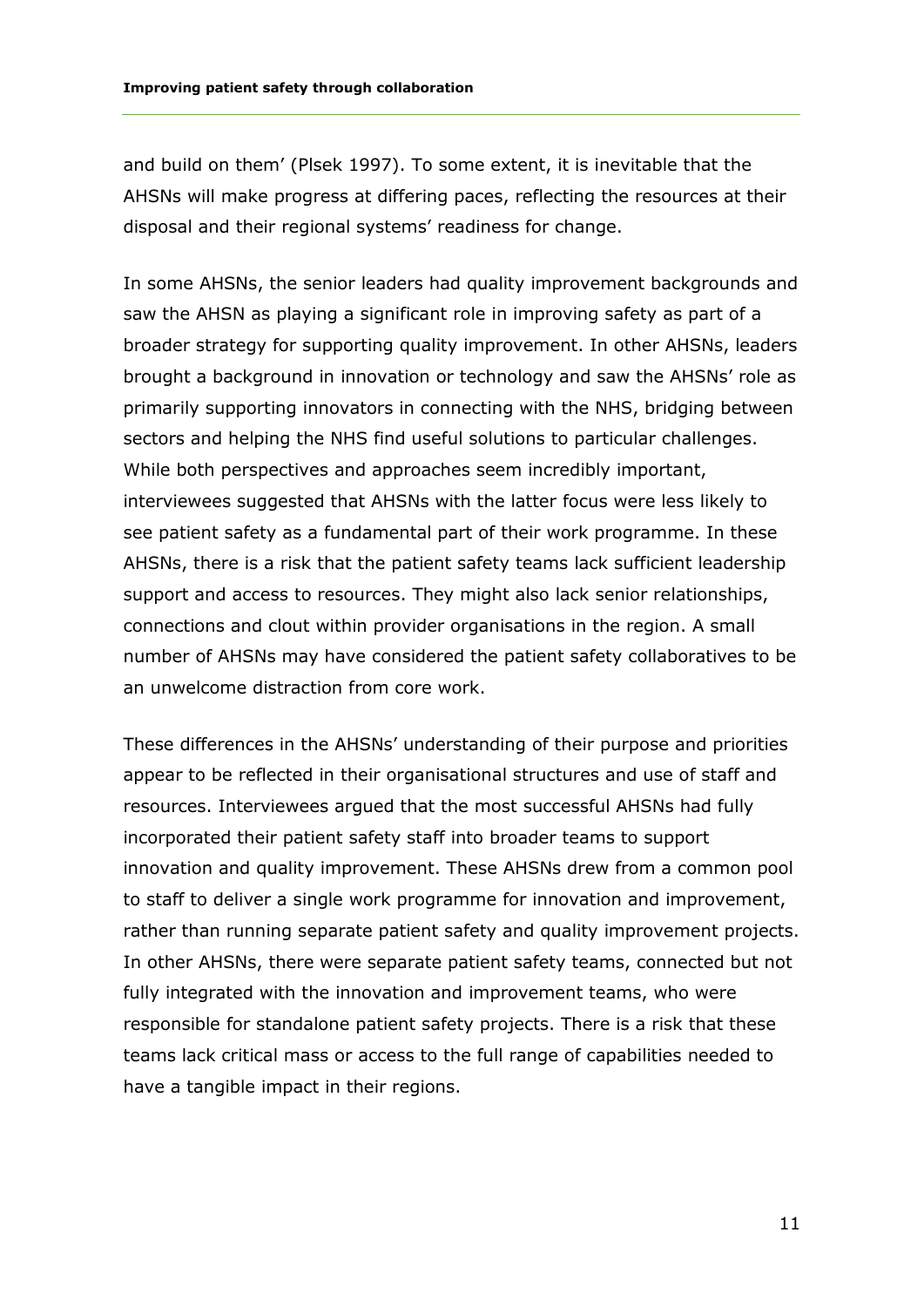and build on them' (Plsek 1997). To some extent, it is inevitable that the AHSNs will make progress at differing paces, reflecting the resources at their disposal and their regional systems' readiness for change.

In some AHSNs, the senior leaders had quality improvement backgrounds and saw the AHSN as playing a significant role in improving safety as part of a broader strategy for supporting quality improvement. In other AHSNs, leaders brought a background in innovation or technology and saw the AHSNs' role as primarily supporting innovators in connecting with the NHS, bridging between sectors and helping the NHS find useful solutions to particular challenges. While both perspectives and approaches seem incredibly important, interviewees suggested that AHSNs with the latter focus were less likely to see patient safety as a fundamental part of their work programme. In these AHSNs, there is a risk that the patient safety teams lack sufficient leadership support and access to resources. They might also lack senior relationships, connections and clout within provider organisations in the region. A small number of AHSNs may have considered the patient safety collaboratives to be an unwelcome distraction from core work.

These differences in the AHSNs' understanding of their purpose and priorities appear to be reflected in their organisational structures and use of staff and resources. Interviewees argued that the most successful AHSNs had fully incorporated their patient safety staff into broader teams to support innovation and quality improvement. These AHSNs drew from a common pool to staff to deliver a single work programme for innovation and improvement, rather than running separate patient safety and quality improvement projects. In other AHSNs, there were separate patient safety teams, connected but not fully integrated with the innovation and improvement teams, who were responsible for standalone patient safety projects. There is a risk that these teams lack critical mass or access to the full range of capabilities needed to have a tangible impact in their regions.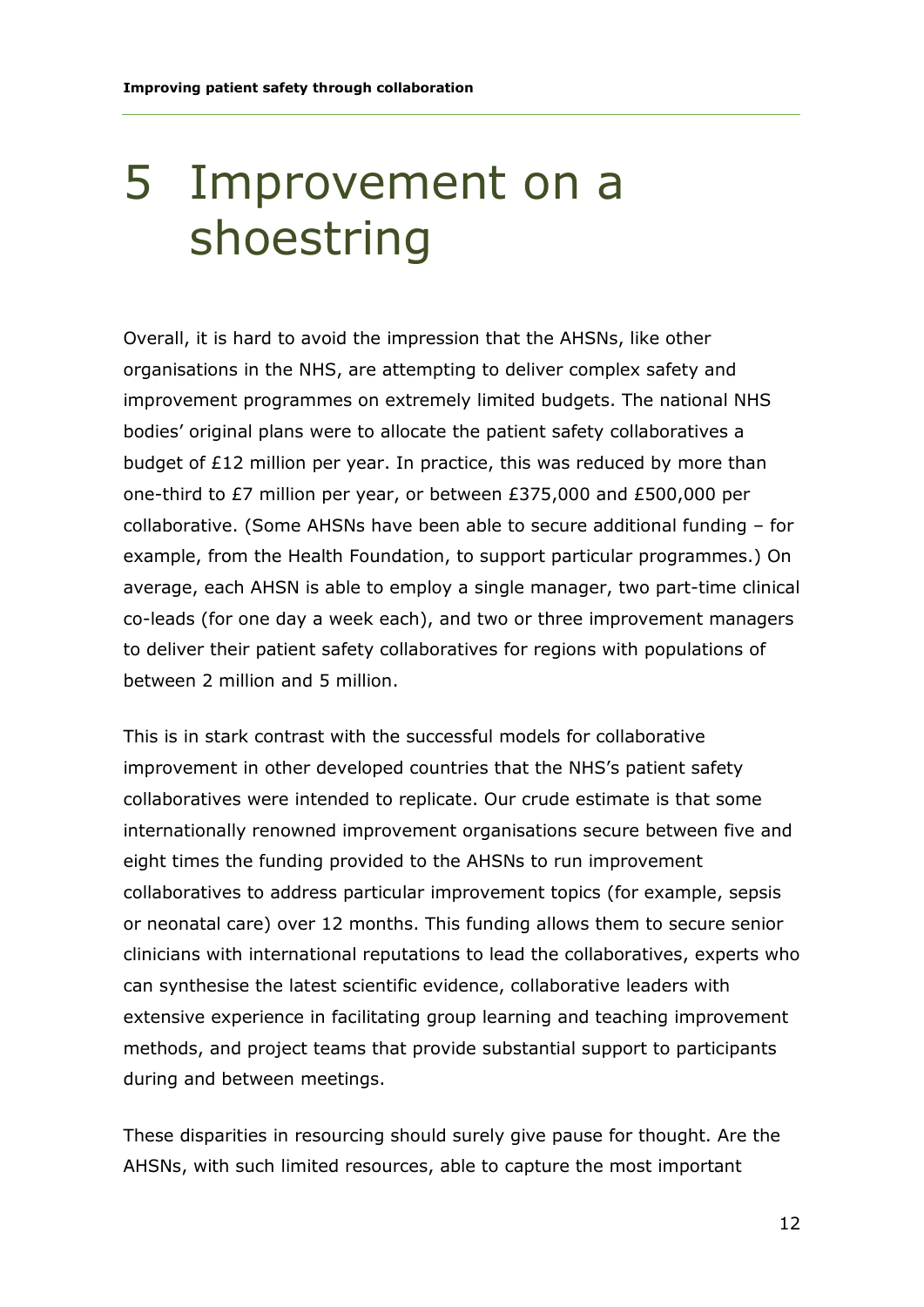#### 5 Improvement on a shoestring

Overall, it is hard to avoid the impression that the AHSNs, like other organisations in the NHS, are attempting to deliver complex safety and improvement programmes on extremely limited budgets. The national NHS bodies' original plans were to allocate the patient safety collaboratives a budget of £12 million per year. In practice, this was reduced by more than one-third to £7 million per year, or between £375,000 and £500,000 per collaborative. (Some AHSNs have been able to secure additional funding – for example, from the Health Foundation, to support particular programmes.) On average, each AHSN is able to employ a single manager, two part-time clinical co-leads (for one day a week each), and two or three improvement managers to deliver their patient safety collaboratives for regions with populations of between 2 million and 5 million.

This is in stark contrast with the successful models for collaborative improvement in other developed countries that the NHS's patient safety collaboratives were intended to replicate. Our crude estimate is that some internationally renowned improvement organisations secure between five and eight times the funding provided to the AHSNs to run improvement collaboratives to address particular improvement topics (for example, sepsis or neonatal care) over 12 months. This funding allows them to secure senior clinicians with international reputations to lead the collaboratives, experts who can synthesise the latest scientific evidence, collaborative leaders with extensive experience in facilitating group learning and teaching improvement methods, and project teams that provide substantial support to participants during and between meetings.

These disparities in resourcing should surely give pause for thought. Are the AHSNs, with such limited resources, able to capture the most important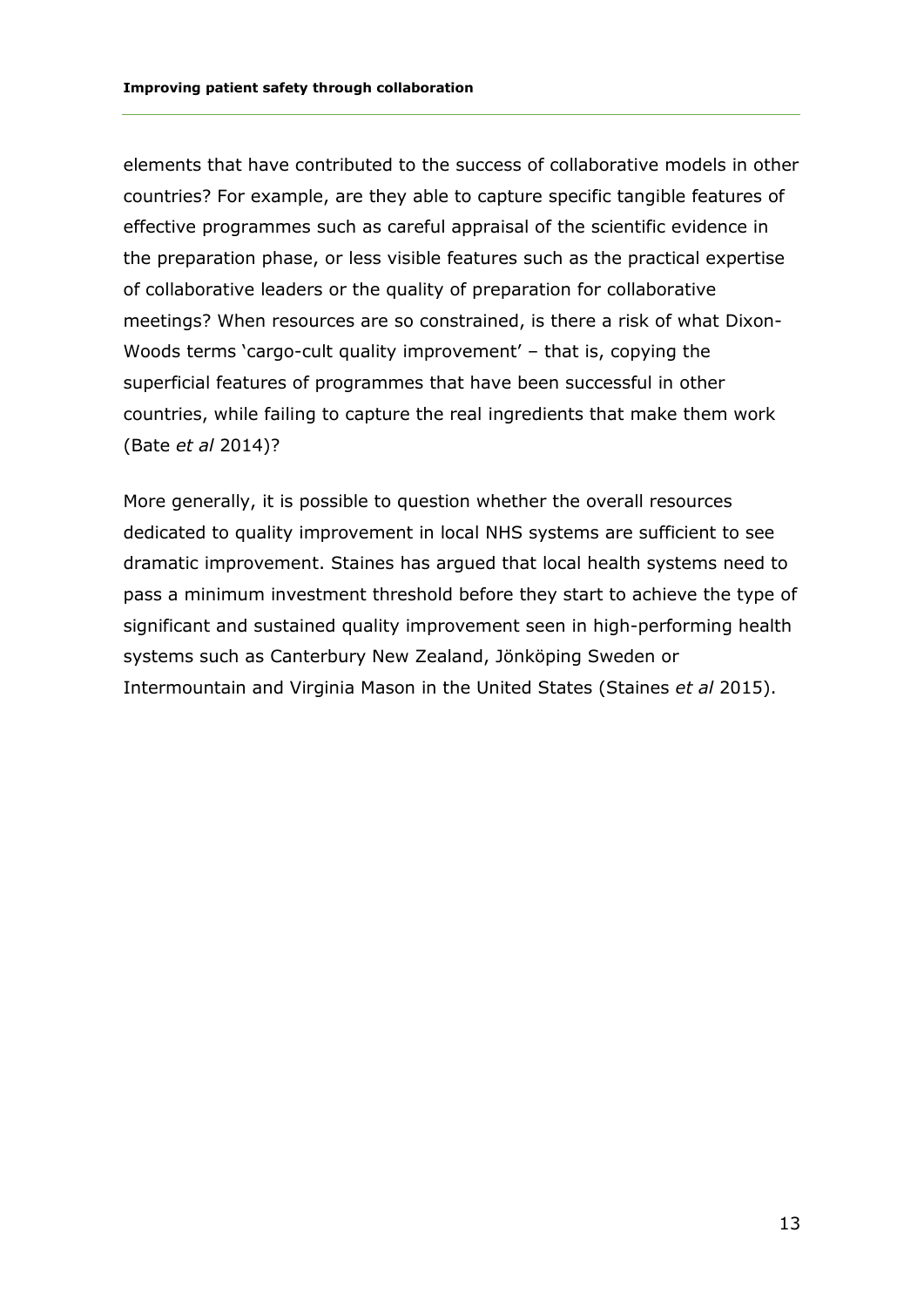elements that have contributed to the success of collaborative models in other countries? For example, are they able to capture specific tangible features of effective programmes such as careful appraisal of the scientific evidence in the preparation phase, or less visible features such as the practical expertise of collaborative leaders or the quality of preparation for collaborative meetings? When resources are so constrained, is there a risk of what Dixon-Woods terms 'cargo-cult quality improvement' – that is, copying the superficial features of programmes that have been successful in other countries, while failing to capture the real ingredients that make them work (Bate *et al* 2014)?

More generally, it is possible to question whether the overall resources dedicated to quality improvement in local NHS systems are sufficient to see dramatic improvement. Staines has argued that local health systems need to pass a minimum investment threshold before they start to achieve the type of significant and sustained quality improvement seen in high-performing health systems such as Canterbury New Zealand, Jönköping Sweden or Intermountain and Virginia Mason in the United States (Staines *et al* 2015).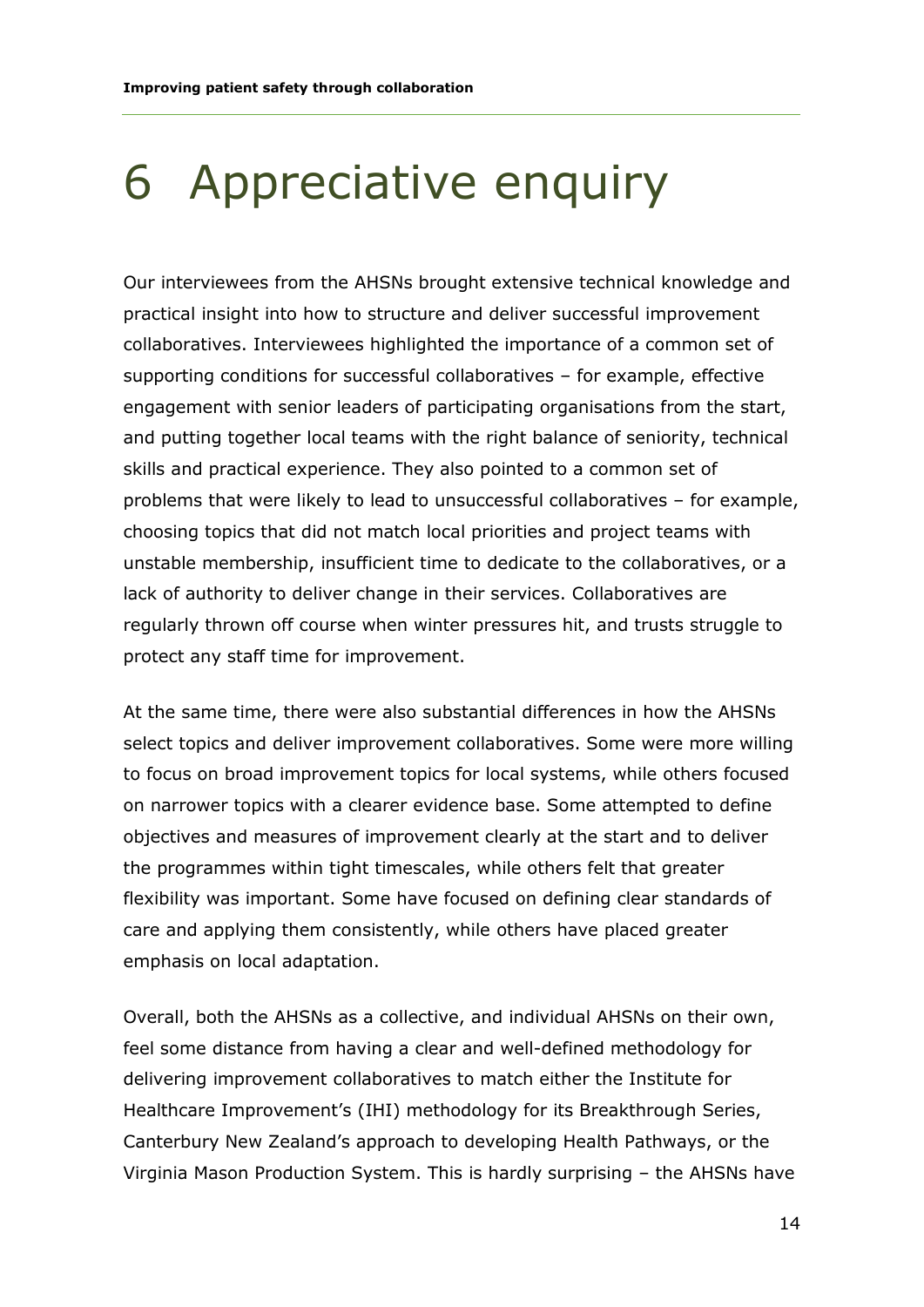### 6 Appreciative enquiry

Our interviewees from the AHSNs brought extensive technical knowledge and practical insight into how to structure and deliver successful improvement collaboratives. Interviewees highlighted the importance of a common set of supporting conditions for successful collaboratives – for example, effective engagement with senior leaders of participating organisations from the start, and putting together local teams with the right balance of seniority, technical skills and practical experience. They also pointed to a common set of problems that were likely to lead to unsuccessful collaboratives – for example, choosing topics that did not match local priorities and project teams with unstable membership, insufficient time to dedicate to the collaboratives, or a lack of authority to deliver change in their services. Collaboratives are regularly thrown off course when winter pressures hit, and trusts struggle to protect any staff time for improvement.

At the same time, there were also substantial differences in how the AHSNs select topics and deliver improvement collaboratives. Some were more willing to focus on broad improvement topics for local systems, while others focused on narrower topics with a clearer evidence base. Some attempted to define objectives and measures of improvement clearly at the start and to deliver the programmes within tight timescales, while others felt that greater flexibility was important. Some have focused on defining clear standards of care and applying them consistently, while others have placed greater emphasis on local adaptation.

Overall, both the AHSNs as a collective, and individual AHSNs on their own, feel some distance from having a clear and well-defined methodology for delivering improvement collaboratives to match either the Institute for Healthcare Improvement's (IHI) methodology for its Breakthrough Series, Canterbury New Zealand's approach to developing Health Pathways, or the Virginia Mason Production System. This is hardly surprising – the AHSNs have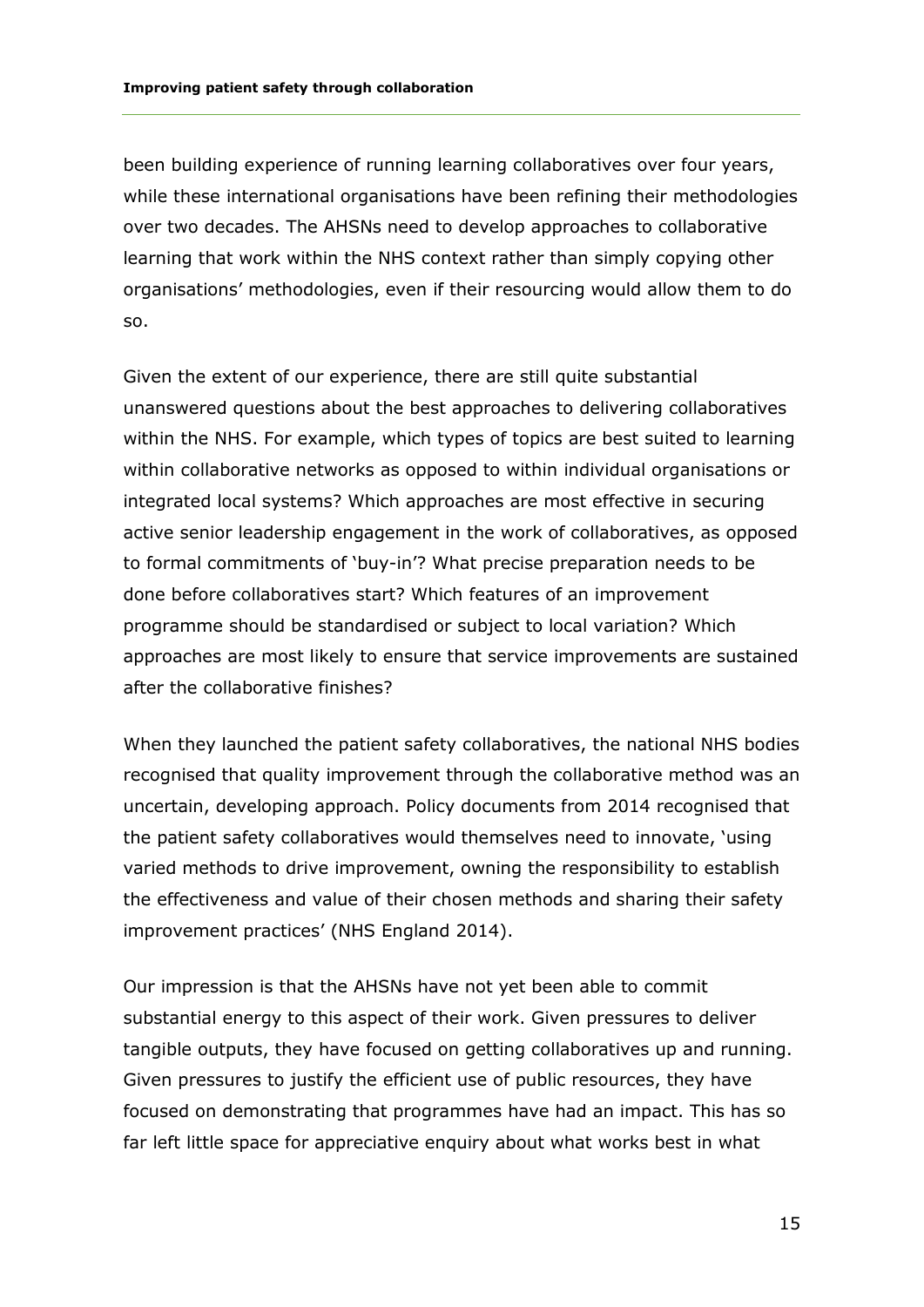been building experience of running learning collaboratives over four years, while these international organisations have been refining their methodologies over two decades. The AHSNs need to develop approaches to collaborative learning that work within the NHS context rather than simply copying other organisations' methodologies, even if their resourcing would allow them to do so.

Given the extent of our experience, there are still quite substantial unanswered questions about the best approaches to delivering collaboratives within the NHS. For example, which types of topics are best suited to learning within collaborative networks as opposed to within individual organisations or integrated local systems? Which approaches are most effective in securing active senior leadership engagement in the work of collaboratives, as opposed to formal commitments of 'buy-in'? What precise preparation needs to be done before collaboratives start? Which features of an improvement programme should be standardised or subject to local variation? Which approaches are most likely to ensure that service improvements are sustained after the collaborative finishes?

When they launched the patient safety collaboratives, the national NHS bodies recognised that quality improvement through the collaborative method was an uncertain, developing approach. Policy documents from 2014 recognised that the patient safety collaboratives would themselves need to innovate, 'using varied methods to drive improvement, owning the responsibility to establish the effectiveness and value of their chosen methods and sharing their safety improvement practices' (NHS England 2014).

Our impression is that the AHSNs have not yet been able to commit substantial energy to this aspect of their work. Given pressures to deliver tangible outputs, they have focused on getting collaboratives up and running. Given pressures to justify the efficient use of public resources, they have focused on demonstrating that programmes have had an impact. This has so far left little space for appreciative enquiry about what works best in what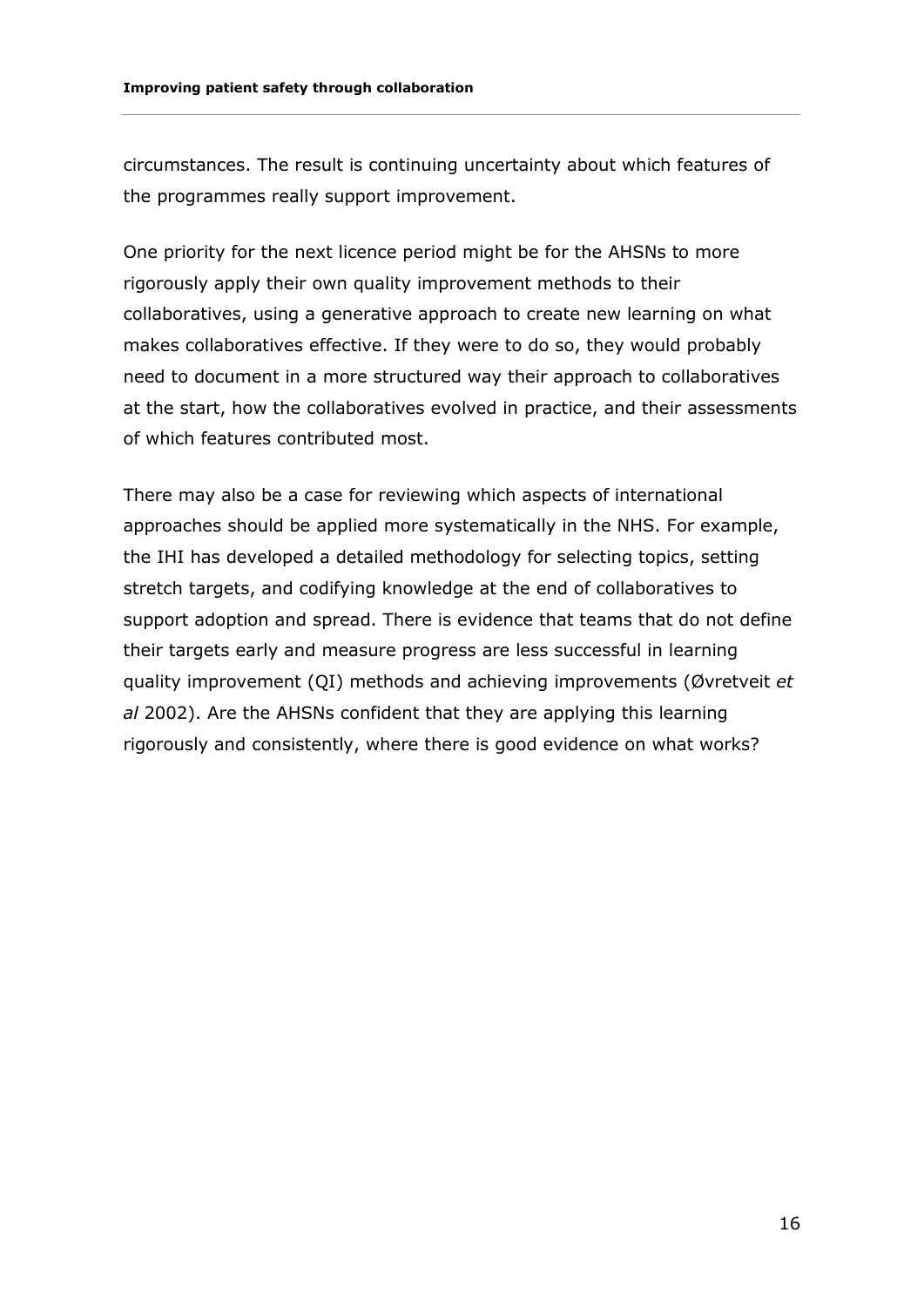circumstances. The result is continuing uncertainty about which features of the programmes really support improvement.

One priority for the next licence period might be for the AHSNs to more rigorously apply their own quality improvement methods to their collaboratives, using a generative approach to create new learning on what makes collaboratives effective. If they were to do so, they would probably need to document in a more structured way their approach to collaboratives at the start, how the collaboratives evolved in practice, and their assessments of which features contributed most.

There may also be a case for reviewing which aspects of international approaches should be applied more systematically in the NHS. For example, the IHI has developed a detailed methodology for selecting topics, setting stretch targets, and codifying knowledge at the end of collaboratives to support adoption and spread. There is evidence that teams that do not define their targets early and measure progress are less successful in learning quality improvement (QI) methods and achieving improvements (Øvretveit *et al* 2002). Are the AHSNs confident that they are applying this learning rigorously and consistently, where there is good evidence on what works?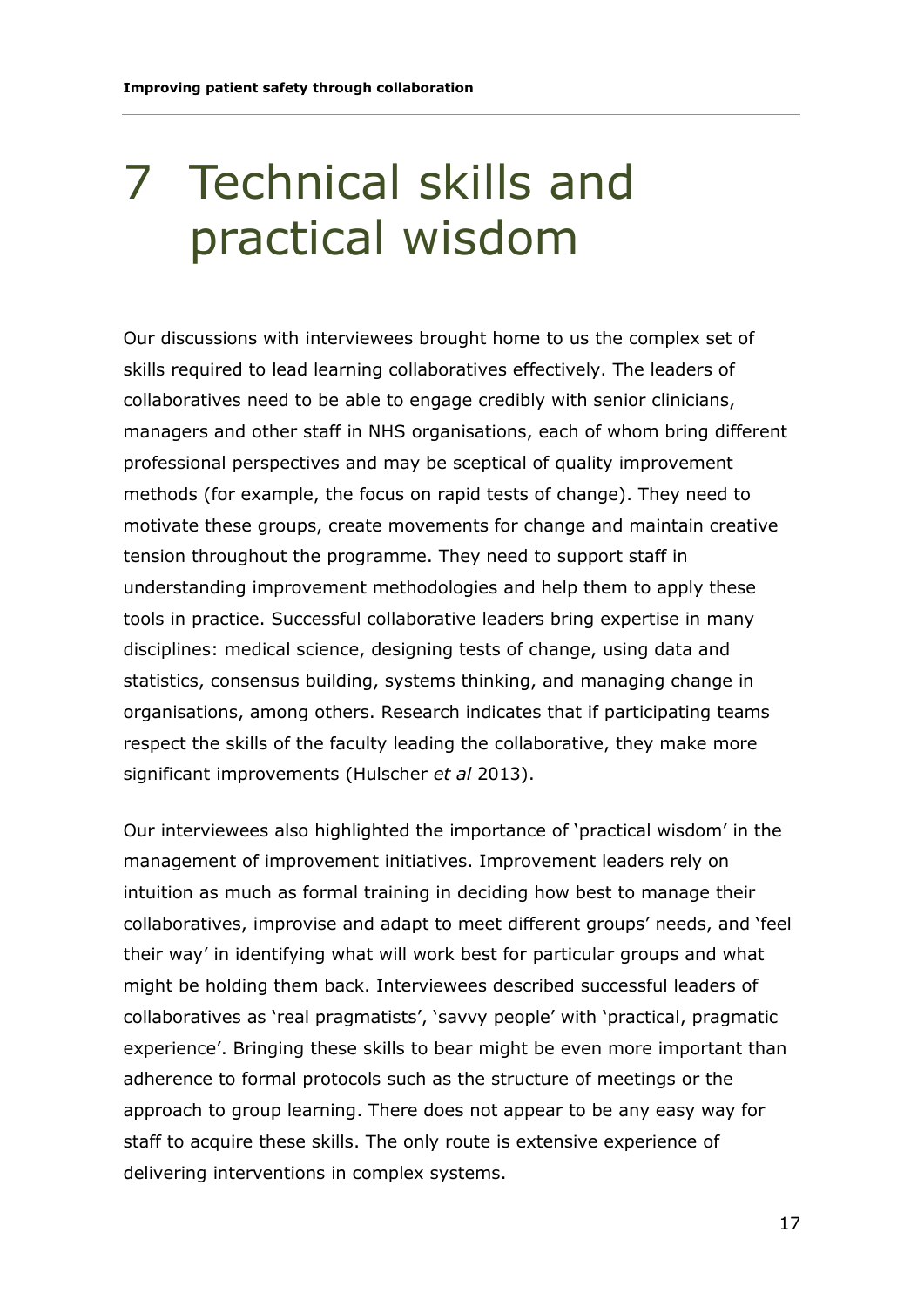### 7 Technical skills and practical wisdom

Our discussions with interviewees brought home to us the complex set of skills required to lead learning collaboratives effectively. The leaders of collaboratives need to be able to engage credibly with senior clinicians, managers and other staff in NHS organisations, each of whom bring different professional perspectives and may be sceptical of quality improvement methods (for example, the focus on rapid tests of change). They need to motivate these groups, create movements for change and maintain creative tension throughout the programme. They need to support staff in understanding improvement methodologies and help them to apply these tools in practice. Successful collaborative leaders bring expertise in many disciplines: medical science, designing tests of change, using data and statistics, consensus building, systems thinking, and managing change in organisations, among others. Research indicates that if participating teams respect the skills of the faculty leading the collaborative, they make more significant improvements (Hulscher *et al* 2013).

Our interviewees also highlighted the importance of 'practical wisdom' in the management of improvement initiatives. Improvement leaders rely on intuition as much as formal training in deciding how best to manage their collaboratives, improvise and adapt to meet different groups' needs, and 'feel their way' in identifying what will work best for particular groups and what might be holding them back. Interviewees described successful leaders of collaboratives as 'real pragmatists', 'savvy people' with 'practical, pragmatic experience'. Bringing these skills to bear might be even more important than adherence to formal protocols such as the structure of meetings or the approach to group learning. There does not appear to be any easy way for staff to acquire these skills. The only route is extensive experience of delivering interventions in complex systems.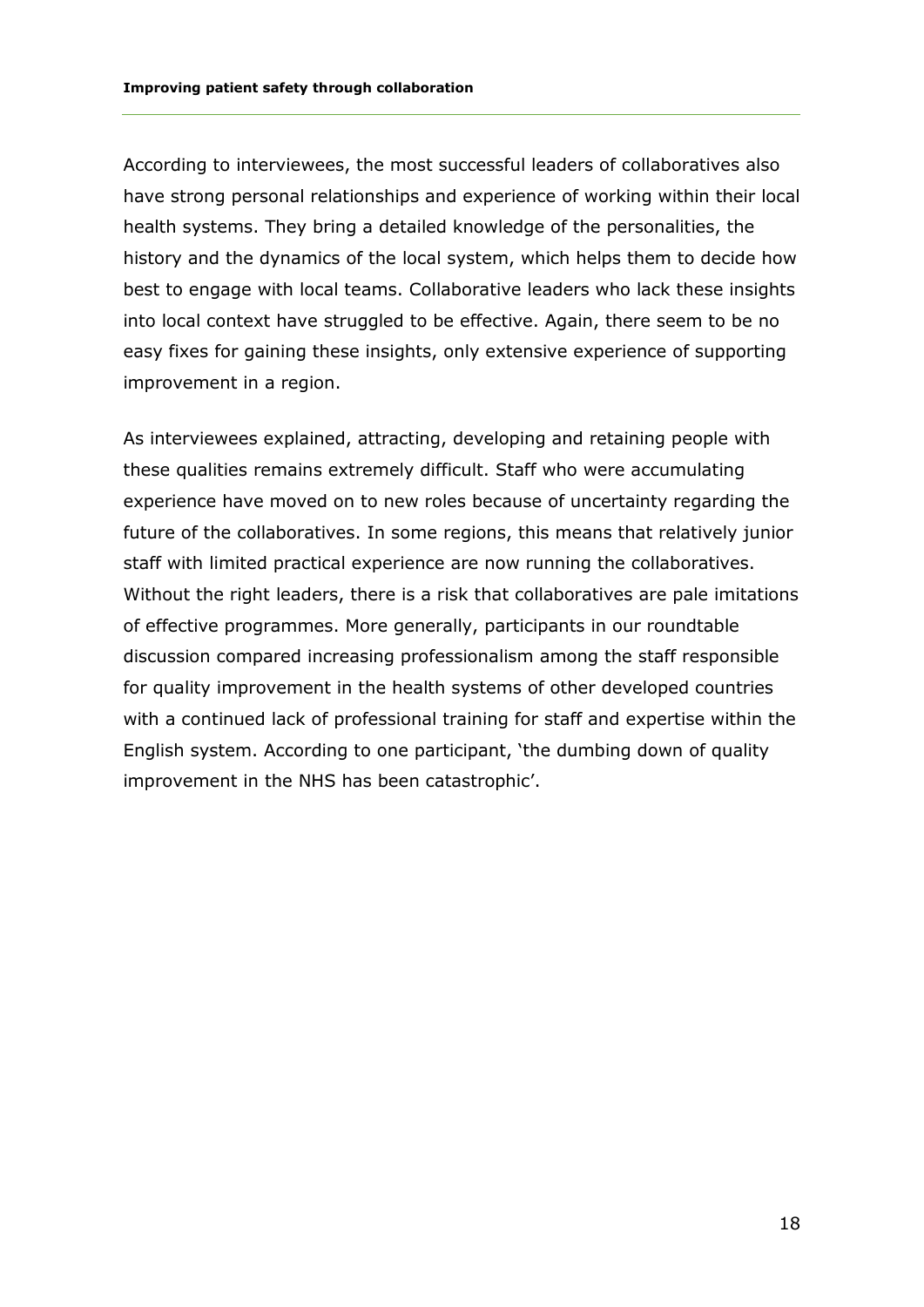According to interviewees, the most successful leaders of collaboratives also have strong personal relationships and experience of working within their local health systems. They bring a detailed knowledge of the personalities, the history and the dynamics of the local system, which helps them to decide how best to engage with local teams. Collaborative leaders who lack these insights into local context have struggled to be effective. Again, there seem to be no easy fixes for gaining these insights, only extensive experience of supporting improvement in a region.

As interviewees explained, attracting, developing and retaining people with these qualities remains extremely difficult. Staff who were accumulating experience have moved on to new roles because of uncertainty regarding the future of the collaboratives. In some regions, this means that relatively junior staff with limited practical experience are now running the collaboratives. Without the right leaders, there is a risk that collaboratives are pale imitations of effective programmes. More generally, participants in our roundtable discussion compared increasing professionalism among the staff responsible for quality improvement in the health systems of other developed countries with a continued lack of professional training for staff and expertise within the English system. According to one participant, 'the dumbing down of quality improvement in the NHS has been catastrophic'.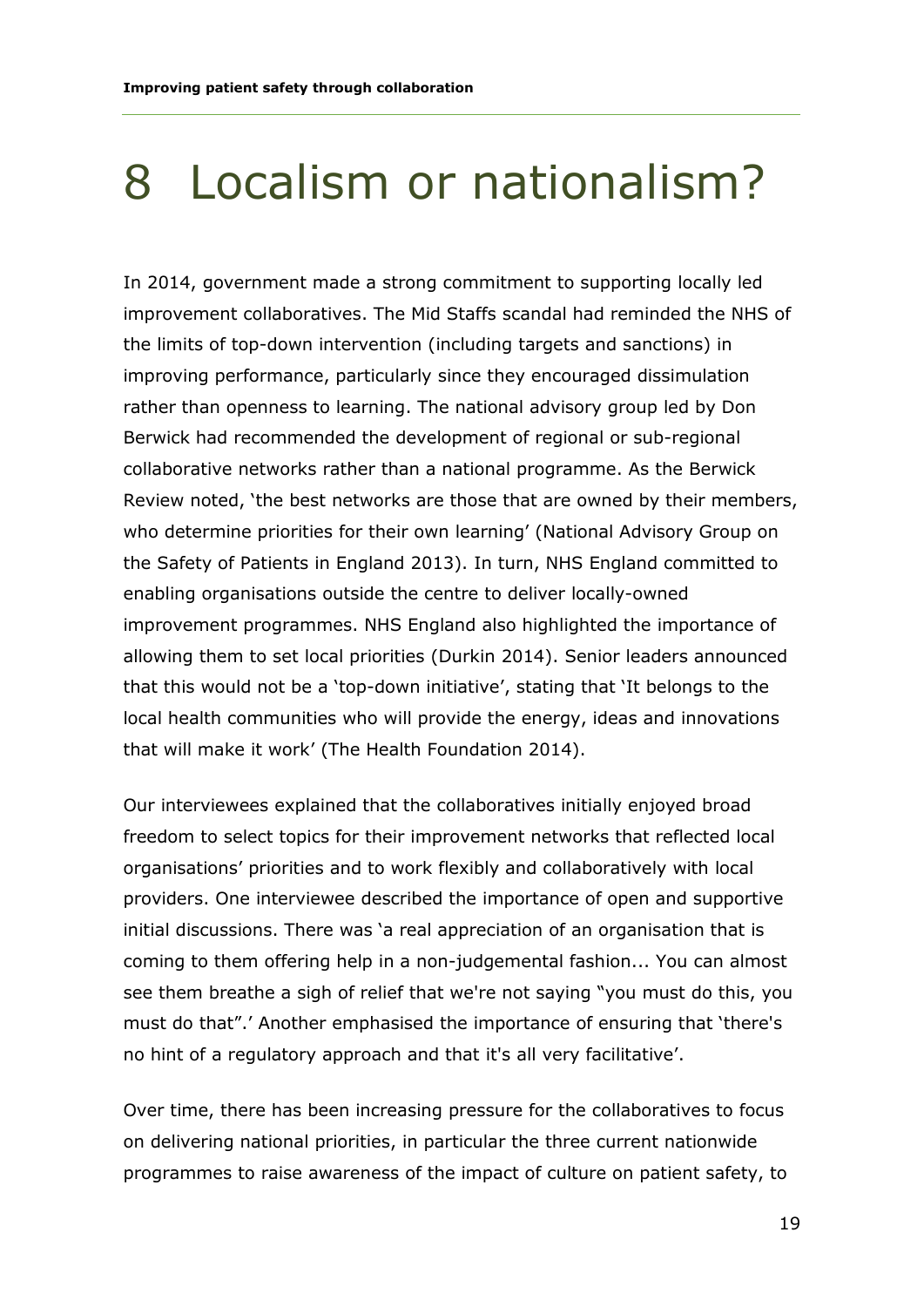#### 8 Localism or nationalism?

In 2014, government made a strong commitment to supporting locally led improvement collaboratives. The Mid Staffs scandal had reminded the NHS of the limits of top-down intervention (including targets and sanctions) in improving performance, particularly since they encouraged dissimulation rather than openness to learning. The national advisory group led by Don Berwick had recommended the development of regional or sub-regional collaborative networks rather than a national programme. As the Berwick Review noted, 'the best networks are those that are owned by their members, who determine priorities for their own learning' (National Advisory Group on the Safety of Patients in England 2013). In turn, NHS England committed to enabling organisations outside the centre to deliver locally-owned improvement programmes. NHS England also highlighted the importance of allowing them to set local priorities (Durkin 2014). Senior leaders announced that this would not be a 'top-down initiative', stating that 'It belongs to the local health communities who will provide the energy, ideas and innovations that will make it work' (The Health Foundation 2014).

Our interviewees explained that the collaboratives initially enjoyed broad freedom to select topics for their improvement networks that reflected local organisations' priorities and to work flexibly and collaboratively with local providers. One interviewee described the importance of open and supportive initial discussions. There was 'a real appreciation of an organisation that is coming to them offering help in a non-judgemental fashion... You can almost see them breathe a sigh of relief that we're not saying "you must do this, you must do that".' Another emphasised the importance of ensuring that 'there's no hint of a regulatory approach and that it's all very facilitative'.

Over time, there has been increasing pressure for the collaboratives to focus on delivering national priorities, in particular the three current nationwide programmes to raise awareness of the impact of culture on patient safety, to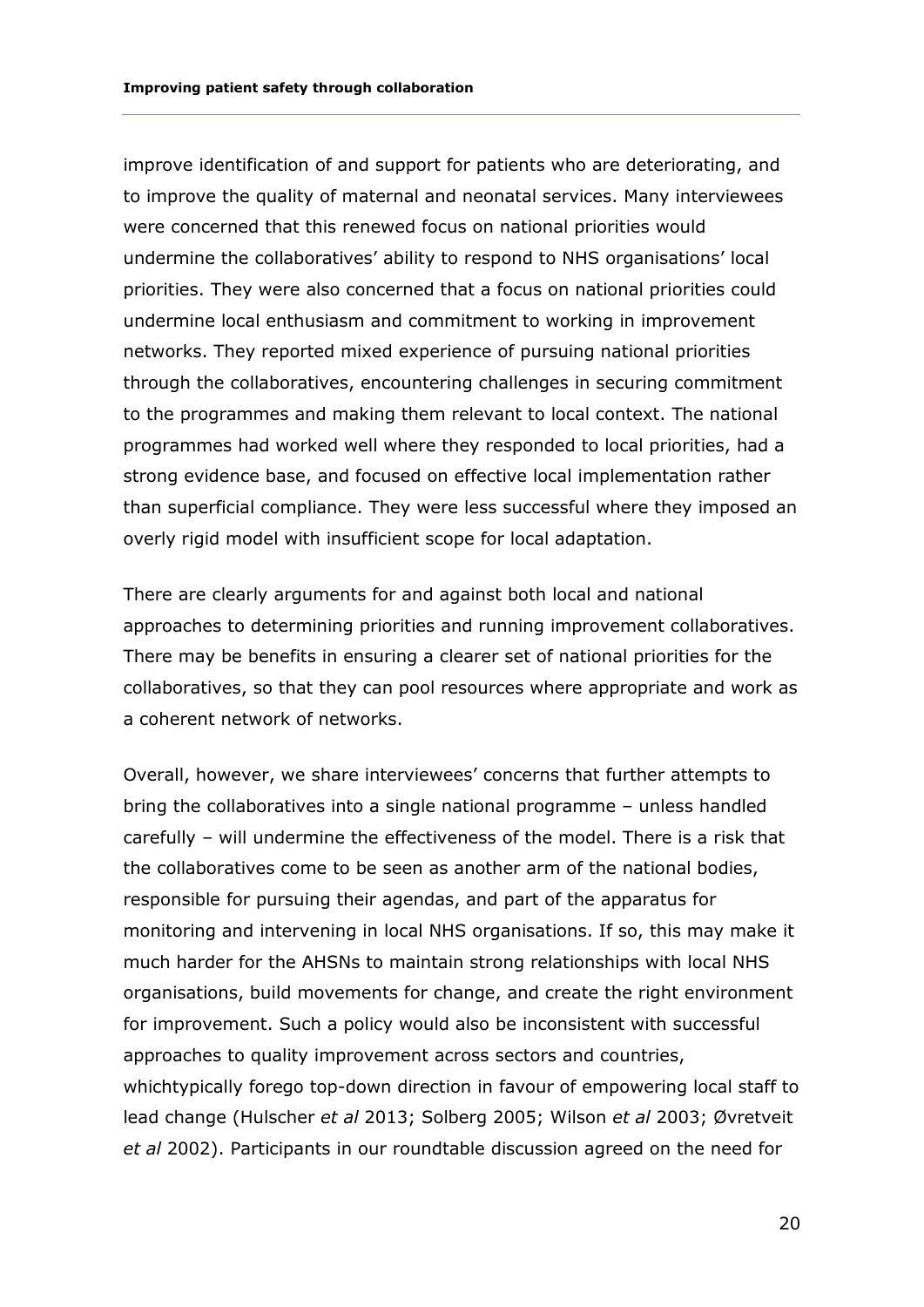improve identification of and support for patients who are deteriorating, and to improve the quality of maternal and neonatal services. Many interviewees were concerned that this renewed focus on national priorities would undermine the collaboratives' ability to respond to NHS organisations' local priorities. They were also concerned that a focus on national priorities could undermine local enthusiasm and commitment to working in improvement networks. They reported mixed experience of pursuing national priorities through the collaboratives, encountering challenges in securing commitment to the programmes and making them relevant to local context. The national programmes had worked well where they responded to local priorities, had a strong evidence base, and focused on effective local implementation rather than superficial compliance. They were less successful where they imposed an overly rigid model with insufficient scope for local adaptation.

There are clearly arguments for and against both local and national approaches to determining priorities and running improvement collaboratives. There may be benefits in ensuring a clearer set of national priorities for the collaboratives, so that they can pool resources where appropriate and work as a coherent network of networks.

Overall, however, we share interviewees' concerns that further attempts to bring the collaboratives into a single national programme – unless handled carefully – will undermine the effectiveness of the model. There is a risk that the collaboratives come to be seen as another arm of the national bodies, responsible for pursuing their agendas, and part of the apparatus for monitoring and intervening in local NHS organisations. If so, this may make it much harder for the AHSNs to maintain strong relationships with local NHS organisations, build movements for change, and create the right environment for improvement. Such a policy would also be inconsistent with successful approaches to quality improvement across sectors and countries, whichtypically forego top-down direction in favour of empowering local staff to lead change (Hulscher *et al* 2013; Solberg 2005; Wilson *et al* 2003; Øvretveit *et al* 2002). Participants in our roundtable discussion agreed on the need for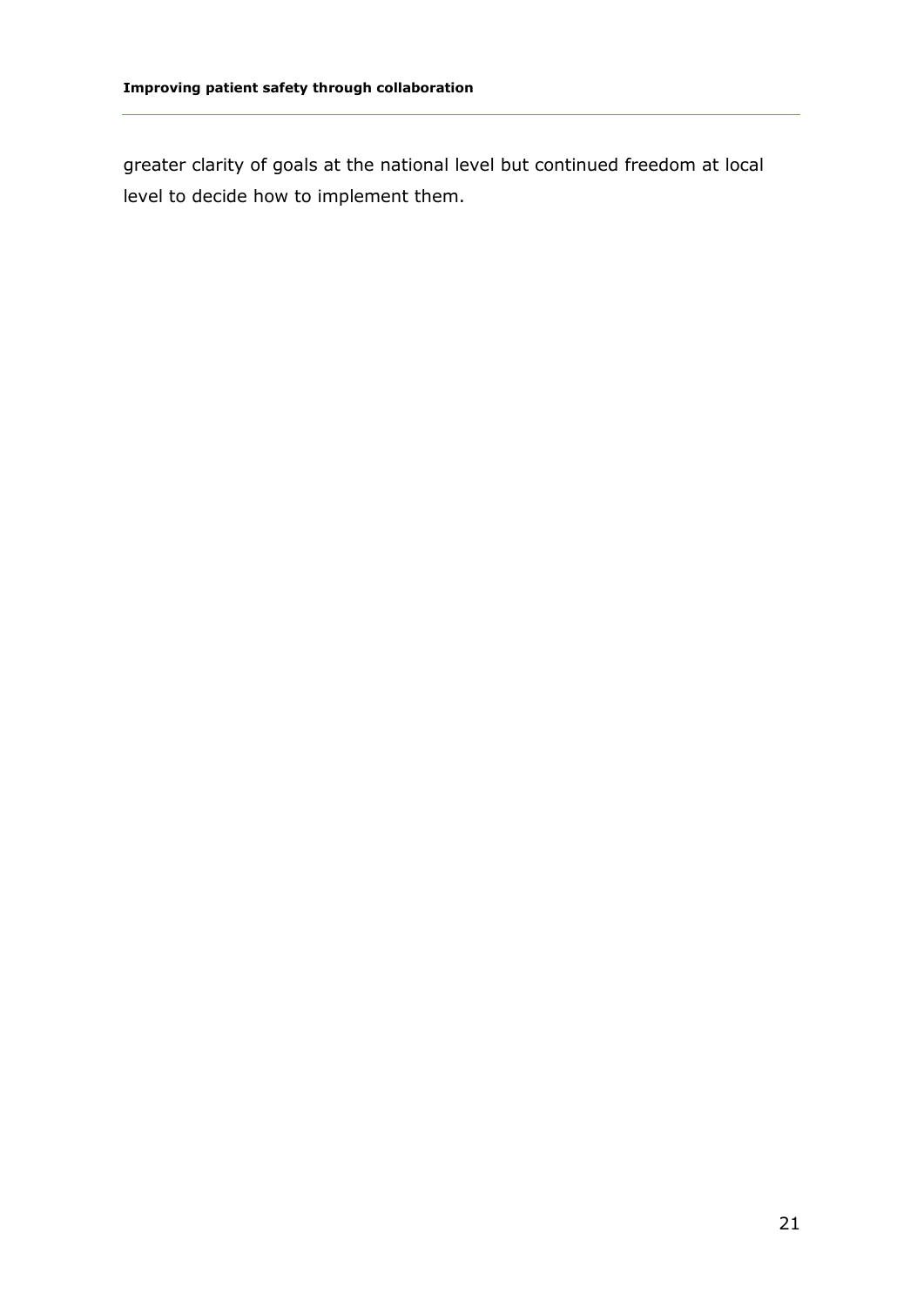greater clarity of goals at the national level but continued freedom at local level to decide how to implement them.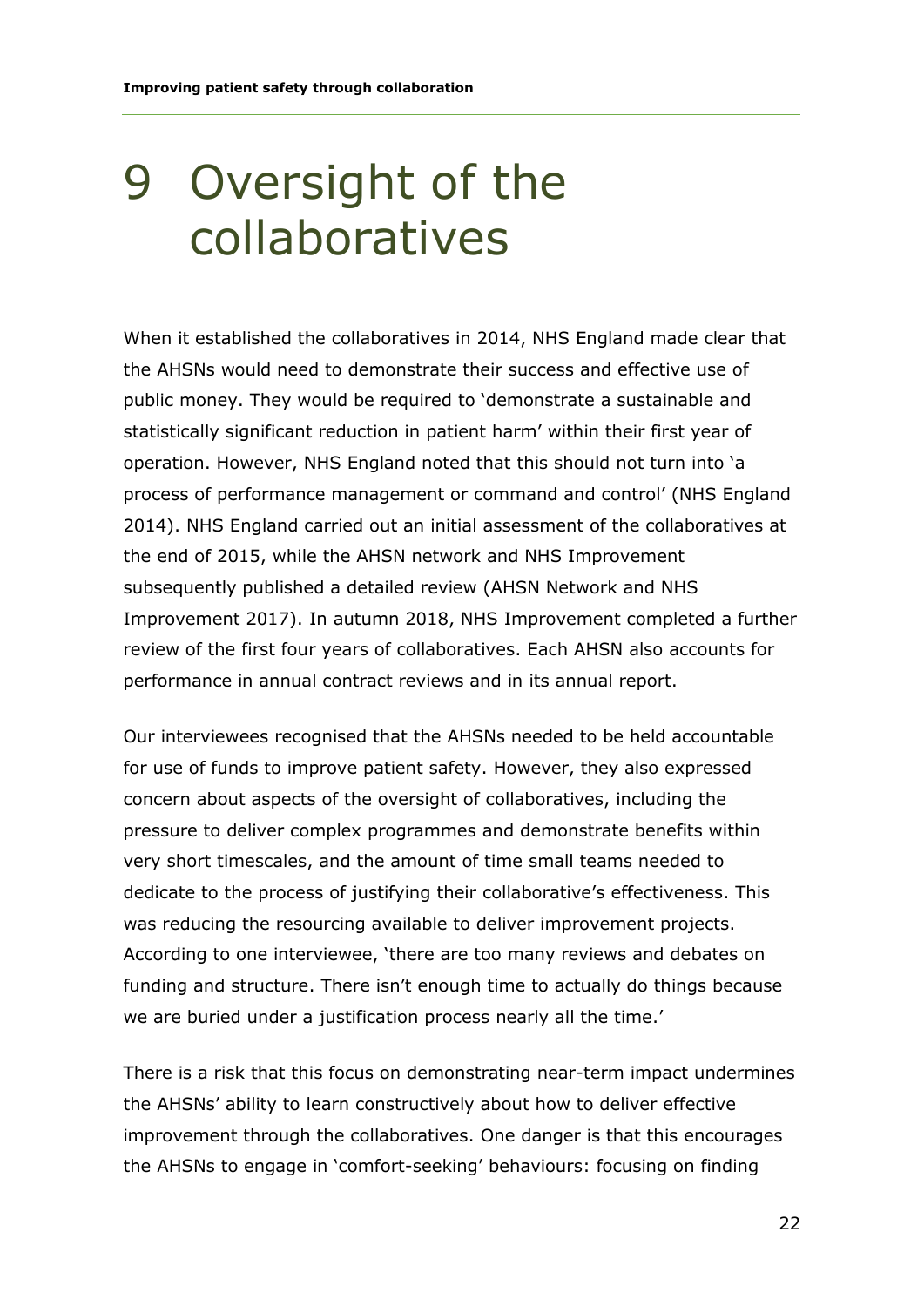### 9 Oversight of the collaboratives

When it established the collaboratives in 2014, NHS England made clear that the AHSNs would need to demonstrate their success and effective use of public money. They would be required to 'demonstrate a sustainable and statistically significant reduction in patient harm' within their first year of operation. However, NHS England noted that this should not turn into 'a process of performance management or command and control' (NHS England 2014). NHS England carried out an initial assessment of the collaboratives at the end of 2015, while the AHSN network and NHS Improvement subsequently published a detailed review (AHSN Network and NHS Improvement 2017). In autumn 2018, NHS Improvement completed a further review of the first four years of collaboratives. Each AHSN also accounts for performance in annual contract reviews and in its annual report.

Our interviewees recognised that the AHSNs needed to be held accountable for use of funds to improve patient safety. However, they also expressed concern about aspects of the oversight of collaboratives, including the pressure to deliver complex programmes and demonstrate benefits within very short timescales, and the amount of time small teams needed to dedicate to the process of justifying their collaborative's effectiveness. This was reducing the resourcing available to deliver improvement projects. According to one interviewee, 'there are too many reviews and debates on funding and structure. There isn't enough time to actually do things because we are buried under a justification process nearly all the time.'

There is a risk that this focus on demonstrating near-term impact undermines the AHSNs' ability to learn constructively about how to deliver effective improvement through the collaboratives. One danger is that this encourages the AHSNs to engage in 'comfort-seeking' behaviours: focusing on finding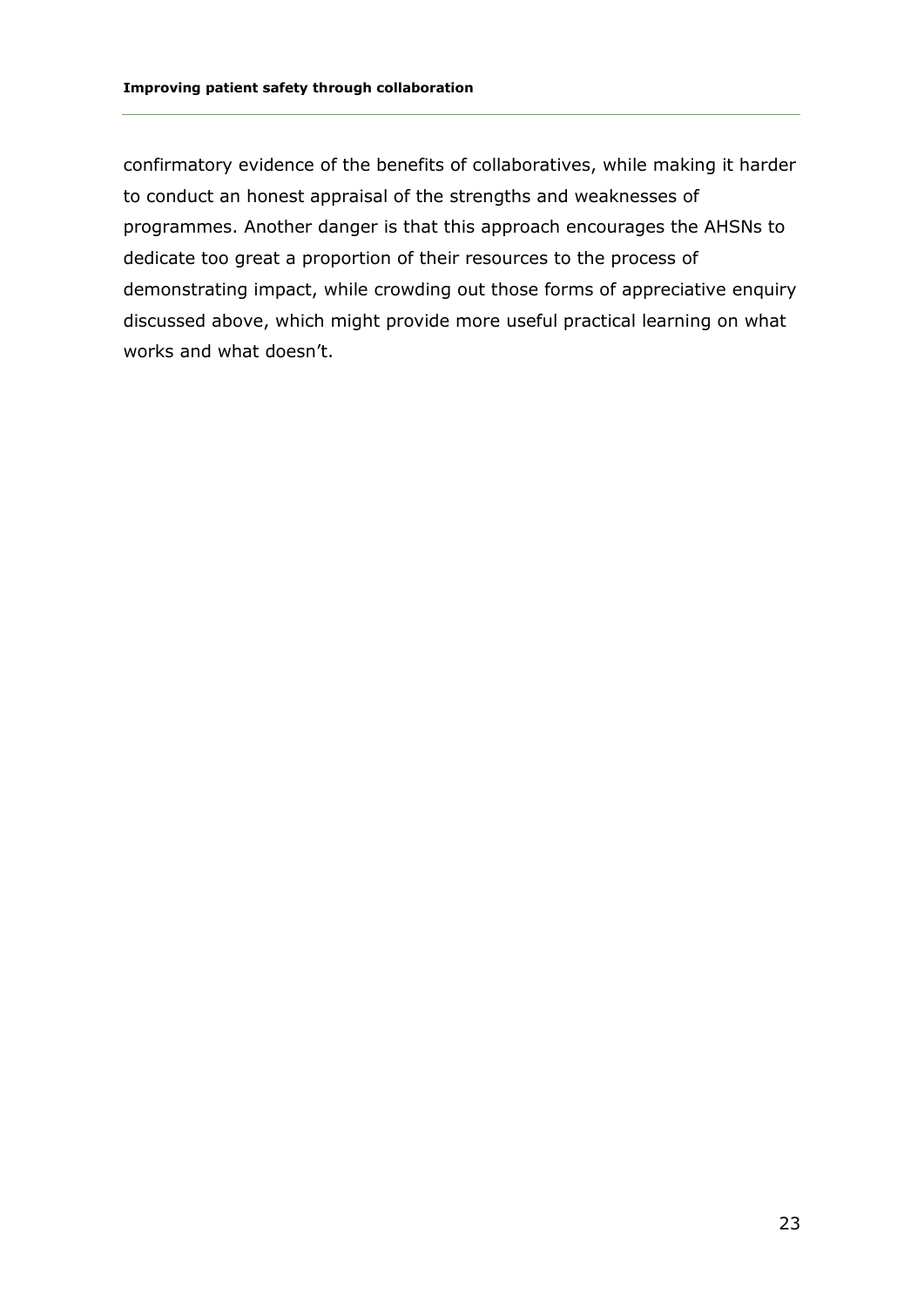confirmatory evidence of the benefits of collaboratives, while making it harder to conduct an honest appraisal of the strengths and weaknesses of programmes. Another danger is that this approach encourages the AHSNs to dedicate too great a proportion of their resources to the process of demonstrating impact, while crowding out those forms of appreciative enquiry discussed above, which might provide more useful practical learning on what works and what doesn't.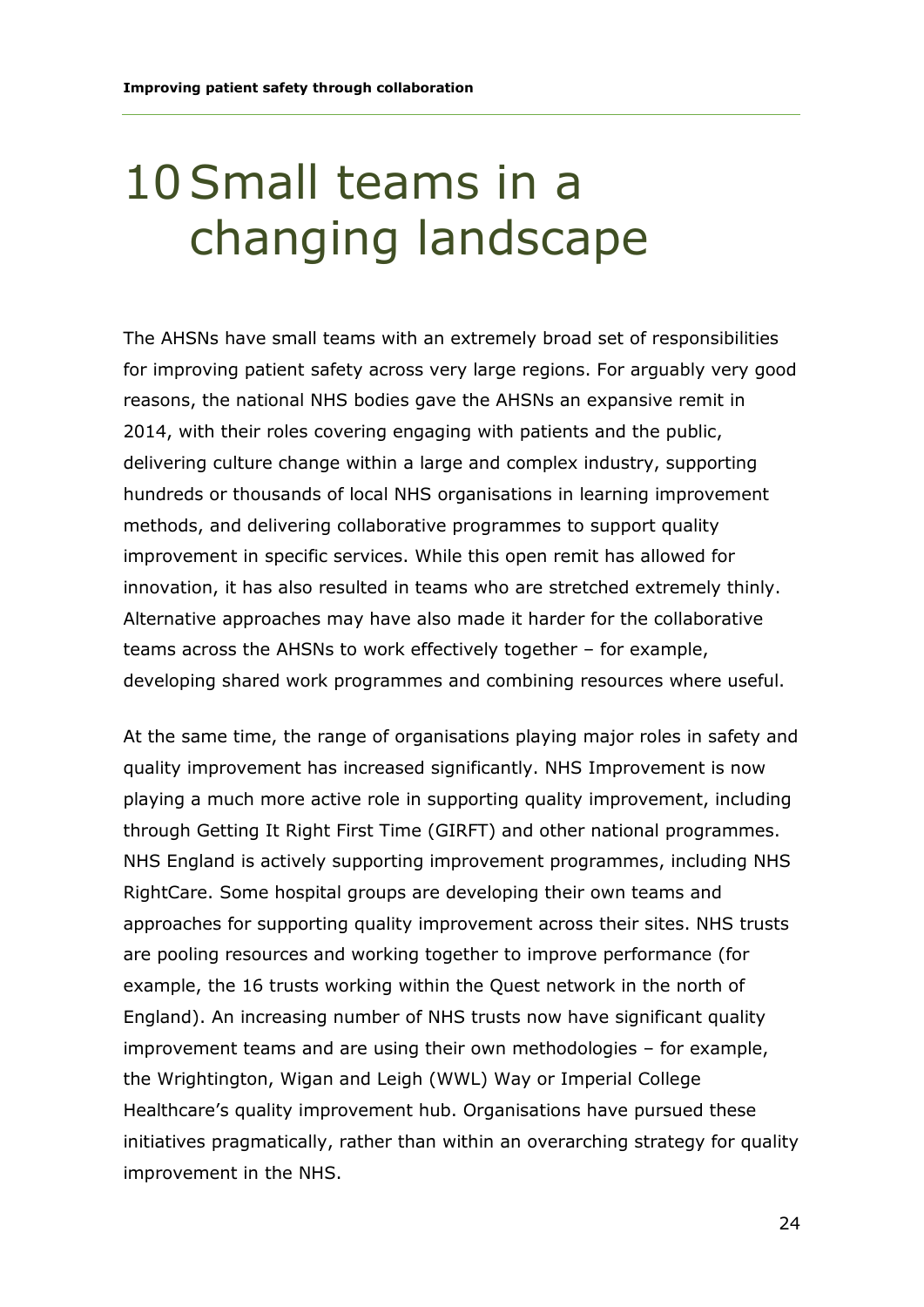### 10Small teams in a changing landscape

The AHSNs have small teams with an extremely broad set of responsibilities for improving patient safety across very large regions. For arguably very good reasons, the national NHS bodies gave the AHSNs an expansive remit in 2014, with their roles covering engaging with patients and the public, delivering culture change within a large and complex industry, supporting hundreds or thousands of local NHS organisations in learning improvement methods, and delivering collaborative programmes to support quality improvement in specific services. While this open remit has allowed for innovation, it has also resulted in teams who are stretched extremely thinly. Alternative approaches may have also made it harder for the collaborative teams across the AHSNs to work effectively together – for example, developing shared work programmes and combining resources where useful.

At the same time, the range of organisations playing major roles in safety and quality improvement has increased significantly. NHS Improvement is now playing a much more active role in supporting quality improvement, including through Getting It Right First Time (GIRFT) and other national programmes. NHS England is actively supporting improvement programmes, including NHS RightCare. Some hospital groups are developing their own teams and approaches for supporting quality improvement across their sites. NHS trusts are pooling resources and working together to improve performance (for example, the 16 trusts working within the Quest network in the north of England). An increasing number of NHS trusts now have significant quality improvement teams and are using their own methodologies – for example, the Wrightington, Wigan and Leigh (WWL) Way or Imperial College Healthcare's quality improvement hub. Organisations have pursued these initiatives pragmatically, rather than within an overarching strategy for quality improvement in the NHS.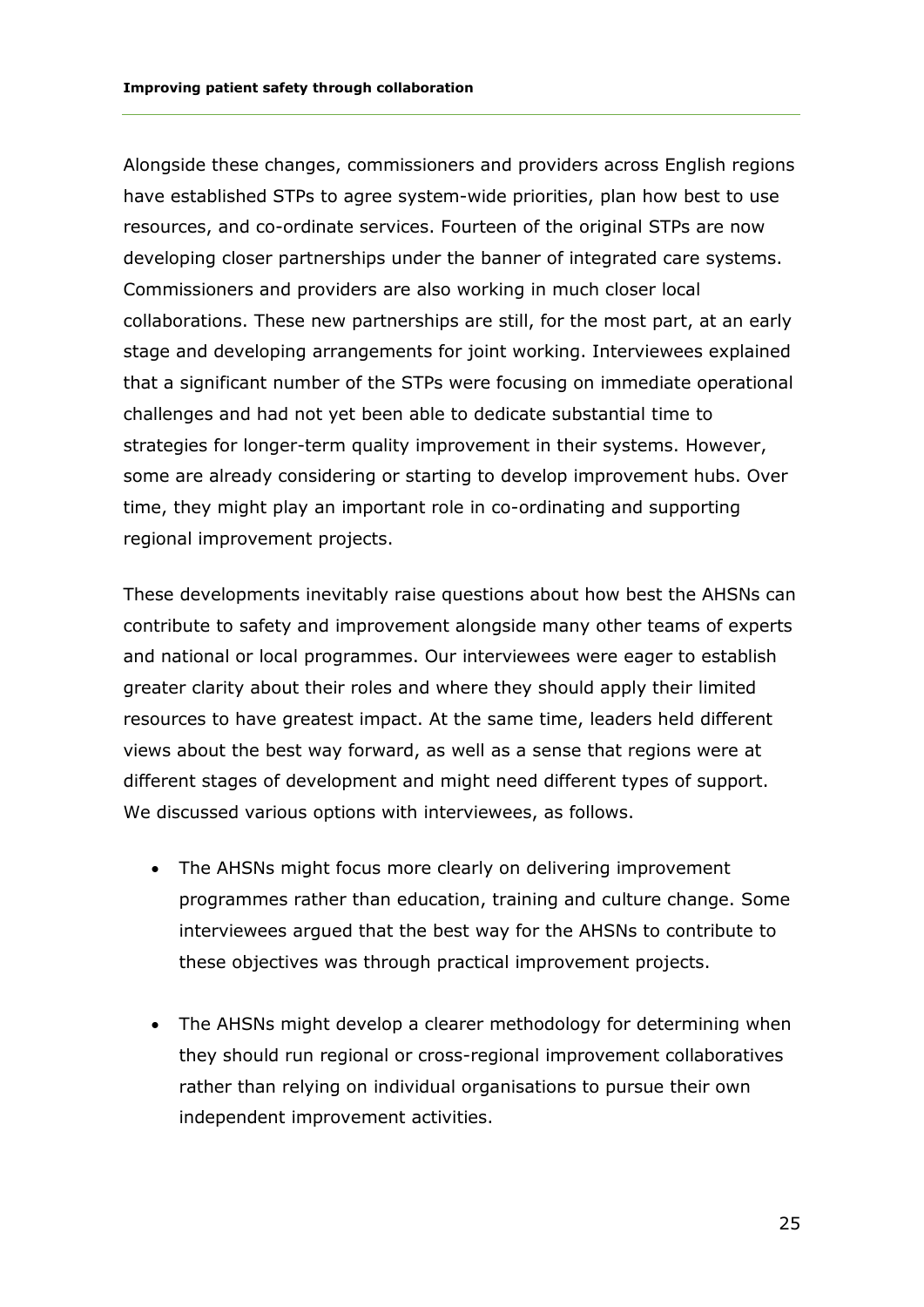Alongside these changes, commissioners and providers across English regions have established STPs to agree system-wide priorities, plan how best to use resources, and co-ordinate services. Fourteen of the original STPs are now developing closer partnerships under the banner of integrated care systems. Commissioners and providers are also working in much closer local collaborations. These new partnerships are still, for the most part, at an early stage and developing arrangements for joint working. Interviewees explained that a significant number of the STPs were focusing on immediate operational challenges and had not yet been able to dedicate substantial time to strategies for longer-term quality improvement in their systems. However, some are already considering or starting to develop improvement hubs. Over time, they might play an important role in co-ordinating and supporting regional improvement projects.

These developments inevitably raise questions about how best the AHSNs can contribute to safety and improvement alongside many other teams of experts and national or local programmes. Our interviewees were eager to establish greater clarity about their roles and where they should apply their limited resources to have greatest impact. At the same time, leaders held different views about the best way forward, as well as a sense that regions were at different stages of development and might need different types of support. We discussed various options with interviewees, as follows.

- The AHSNs might focus more clearly on delivering improvement programmes rather than education, training and culture change. Some interviewees argued that the best way for the AHSNs to contribute to these objectives was through practical improvement projects.
- The AHSNs might develop a clearer methodology for determining when they should run regional or cross-regional improvement collaboratives rather than relying on individual organisations to pursue their own independent improvement activities.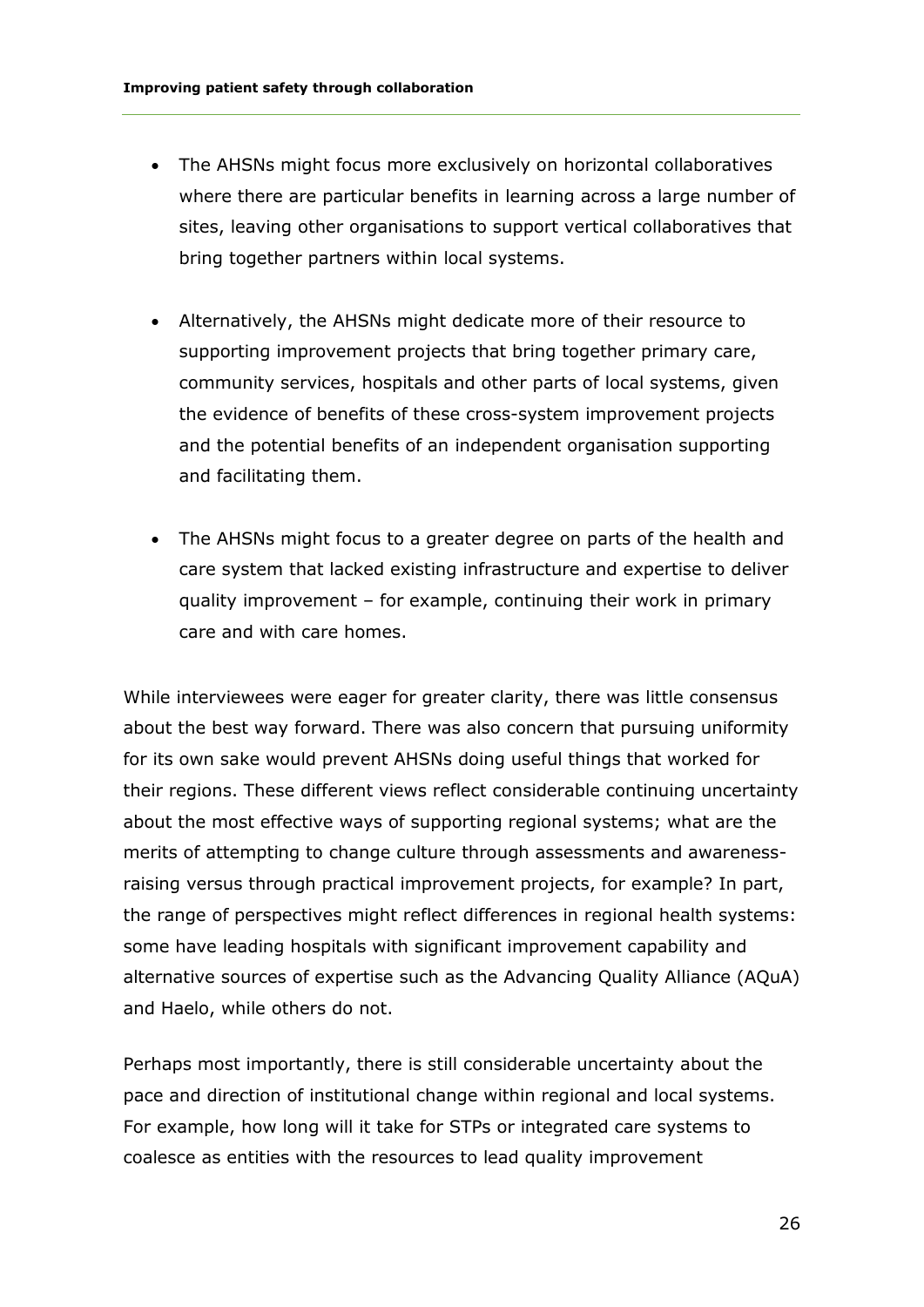- The AHSNs might focus more exclusively on horizontal collaboratives where there are particular benefits in learning across a large number of sites, leaving other organisations to support vertical collaboratives that bring together partners within local systems.
- Alternatively, the AHSNs might dedicate more of their resource to supporting improvement projects that bring together primary care, community services, hospitals and other parts of local systems, given the evidence of benefits of these cross-system improvement projects and the potential benefits of an independent organisation supporting and facilitating them.
- The AHSNs might focus to a greater degree on parts of the health and care system that lacked existing infrastructure and expertise to deliver quality improvement – for example, continuing their work in primary care and with care homes.

While interviewees were eager for greater clarity, there was little consensus about the best way forward. There was also concern that pursuing uniformity for its own sake would prevent AHSNs doing useful things that worked for their regions. These different views reflect considerable continuing uncertainty about the most effective ways of supporting regional systems; what are the merits of attempting to change culture through assessments and awarenessraising versus through practical improvement projects, for example? In part, the range of perspectives might reflect differences in regional health systems: some have leading hospitals with significant improvement capability and alternative sources of expertise such as the Advancing Quality Alliance (AQuA) and Haelo, while others do not.

Perhaps most importantly, there is still considerable uncertainty about the pace and direction of institutional change within regional and local systems. For example, how long will it take for STPs or integrated care systems to coalesce as entities with the resources to lead quality improvement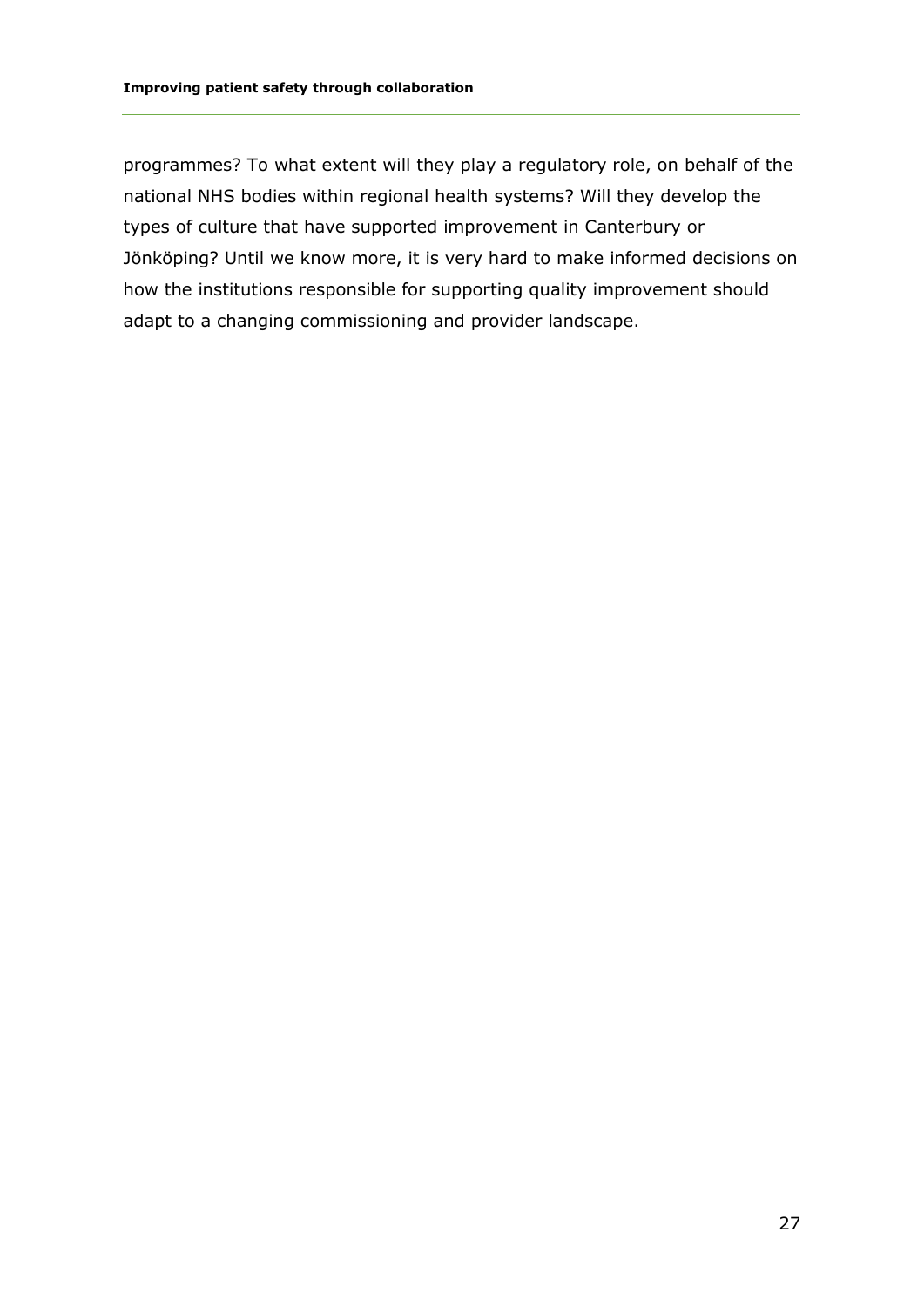programmes? To what extent will they play a regulatory role, on behalf of the national NHS bodies within regional health systems? Will they develop the types of culture that have supported improvement in Canterbury or Jönköping? Until we know more, it is very hard to make informed decisions on how the institutions responsible for supporting quality improvement should adapt to a changing commissioning and provider landscape.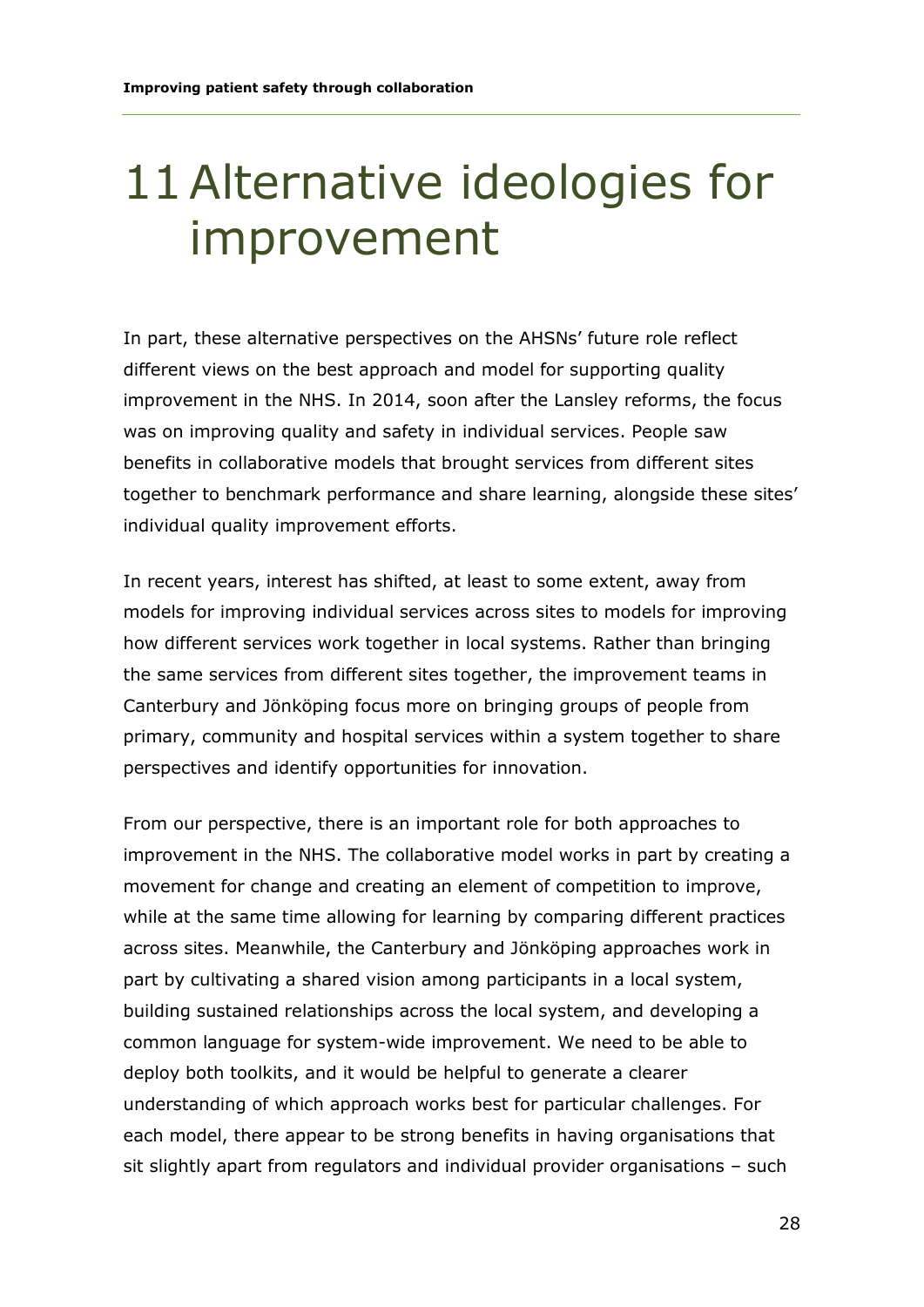#### 11Alternative ideologies for improvement

In part, these alternative perspectives on the AHSNs' future role reflect different views on the best approach and model for supporting quality improvement in the NHS. In 2014, soon after the Lansley reforms, the focus was on improving quality and safety in individual services. People saw benefits in collaborative models that brought services from different sites together to benchmark performance and share learning, alongside these sites' individual quality improvement efforts.

In recent years, interest has shifted, at least to some extent, away from models for improving individual services across sites to models for improving how different services work together in local systems. Rather than bringing the same services from different sites together, the improvement teams in Canterbury and Jönköping focus more on bringing groups of people from primary, community and hospital services within a system together to share perspectives and identify opportunities for innovation.

From our perspective, there is an important role for both approaches to improvement in the NHS. The collaborative model works in part by creating a movement for change and creating an element of competition to improve, while at the same time allowing for learning by comparing different practices across sites. Meanwhile, the Canterbury and Jönköping approaches work in part by cultivating a shared vision among participants in a local system, building sustained relationships across the local system, and developing a common language for system-wide improvement. We need to be able to deploy both toolkits, and it would be helpful to generate a clearer understanding of which approach works best for particular challenges. For each model, there appear to be strong benefits in having organisations that sit slightly apart from regulators and individual provider organisations – such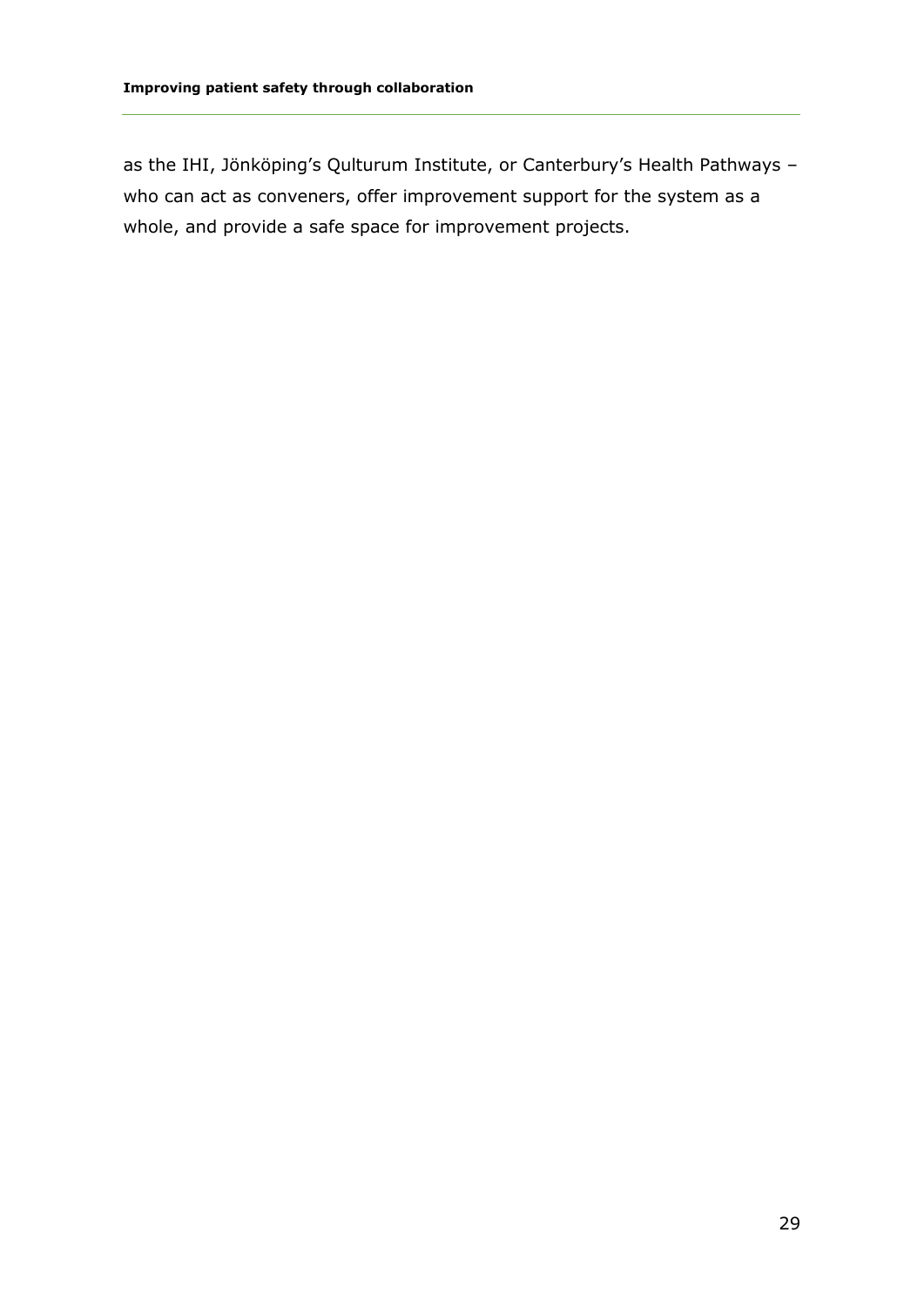as the IHI, Jönköping's Qulturum Institute, or Canterbury's Health Pathways – who can act as conveners, offer improvement support for the system as a whole, and provide a safe space for improvement projects.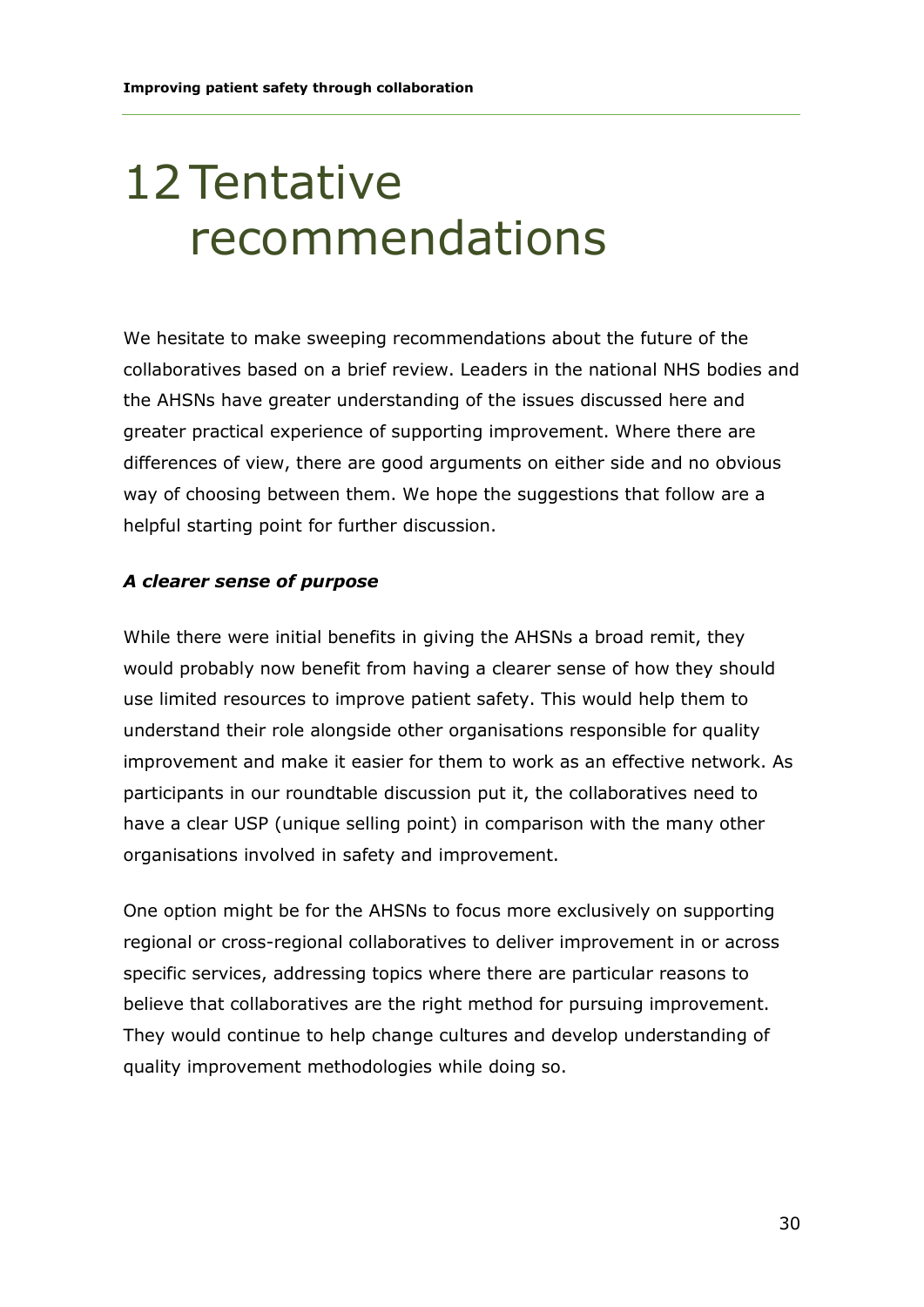### 12Tentative recommendations

We hesitate to make sweeping recommendations about the future of the collaboratives based on a brief review. Leaders in the national NHS bodies and the AHSNs have greater understanding of the issues discussed here and greater practical experience of supporting improvement. Where there are differences of view, there are good arguments on either side and no obvious way of choosing between them. We hope the suggestions that follow are a helpful starting point for further discussion.

#### *A clearer sense of purpose*

While there were initial benefits in giving the AHSNs a broad remit, they would probably now benefit from having a clearer sense of how they should use limited resources to improve patient safety. This would help them to understand their role alongside other organisations responsible for quality improvement and make it easier for them to work as an effective network. As participants in our roundtable discussion put it, the collaboratives need to have a clear USP (unique selling point) in comparison with the many other organisations involved in safety and improvement.

One option might be for the AHSNs to focus more exclusively on supporting regional or cross-regional collaboratives to deliver improvement in or across specific services, addressing topics where there are particular reasons to believe that collaboratives are the right method for pursuing improvement. They would continue to help change cultures and develop understanding of quality improvement methodologies while doing so.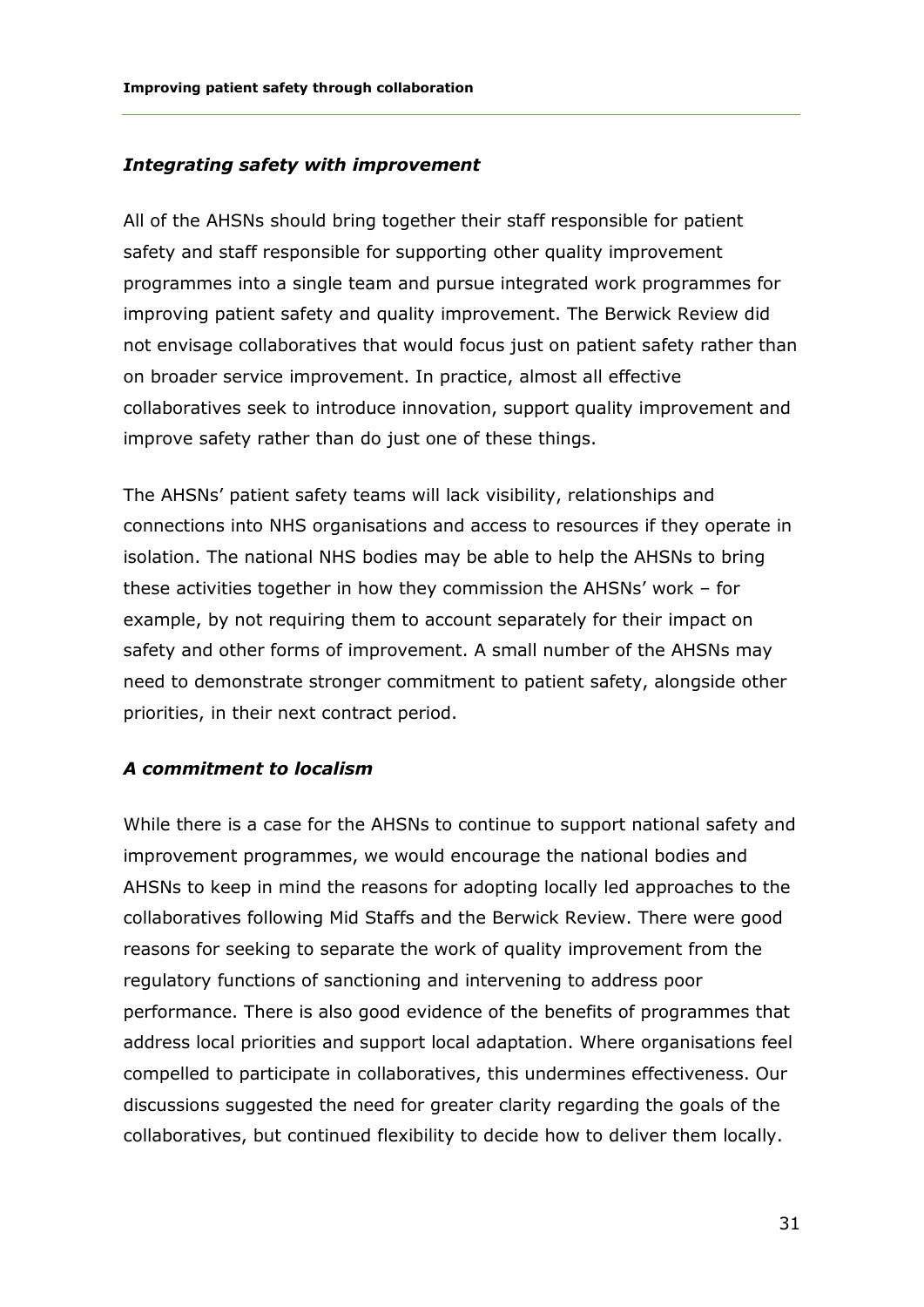#### *Integrating safety with improvement*

All of the AHSNs should bring together their staff responsible for patient safety and staff responsible for supporting other quality improvement programmes into a single team and pursue integrated work programmes for improving patient safety and quality improvement. The Berwick Review did not envisage collaboratives that would focus just on patient safety rather than on broader service improvement. In practice, almost all effective collaboratives seek to introduce innovation, support quality improvement and improve safety rather than do just one of these things.

The AHSNs' patient safety teams will lack visibility, relationships and connections into NHS organisations and access to resources if they operate in isolation. The national NHS bodies may be able to help the AHSNs to bring these activities together in how they commission the AHSNs' work – for example, by not requiring them to account separately for their impact on safety and other forms of improvement. A small number of the AHSNs may need to demonstrate stronger commitment to patient safety, alongside other priorities, in their next contract period.

#### *A commitment to localism*

While there is a case for the AHSNs to continue to support national safety and improvement programmes, we would encourage the national bodies and AHSNs to keep in mind the reasons for adopting locally led approaches to the collaboratives following Mid Staffs and the Berwick Review. There were good reasons for seeking to separate the work of quality improvement from the regulatory functions of sanctioning and intervening to address poor performance. There is also good evidence of the benefits of programmes that address local priorities and support local adaptation. Where organisations feel compelled to participate in collaboratives, this undermines effectiveness. Our discussions suggested the need for greater clarity regarding the goals of the collaboratives, but continued flexibility to decide how to deliver them locally.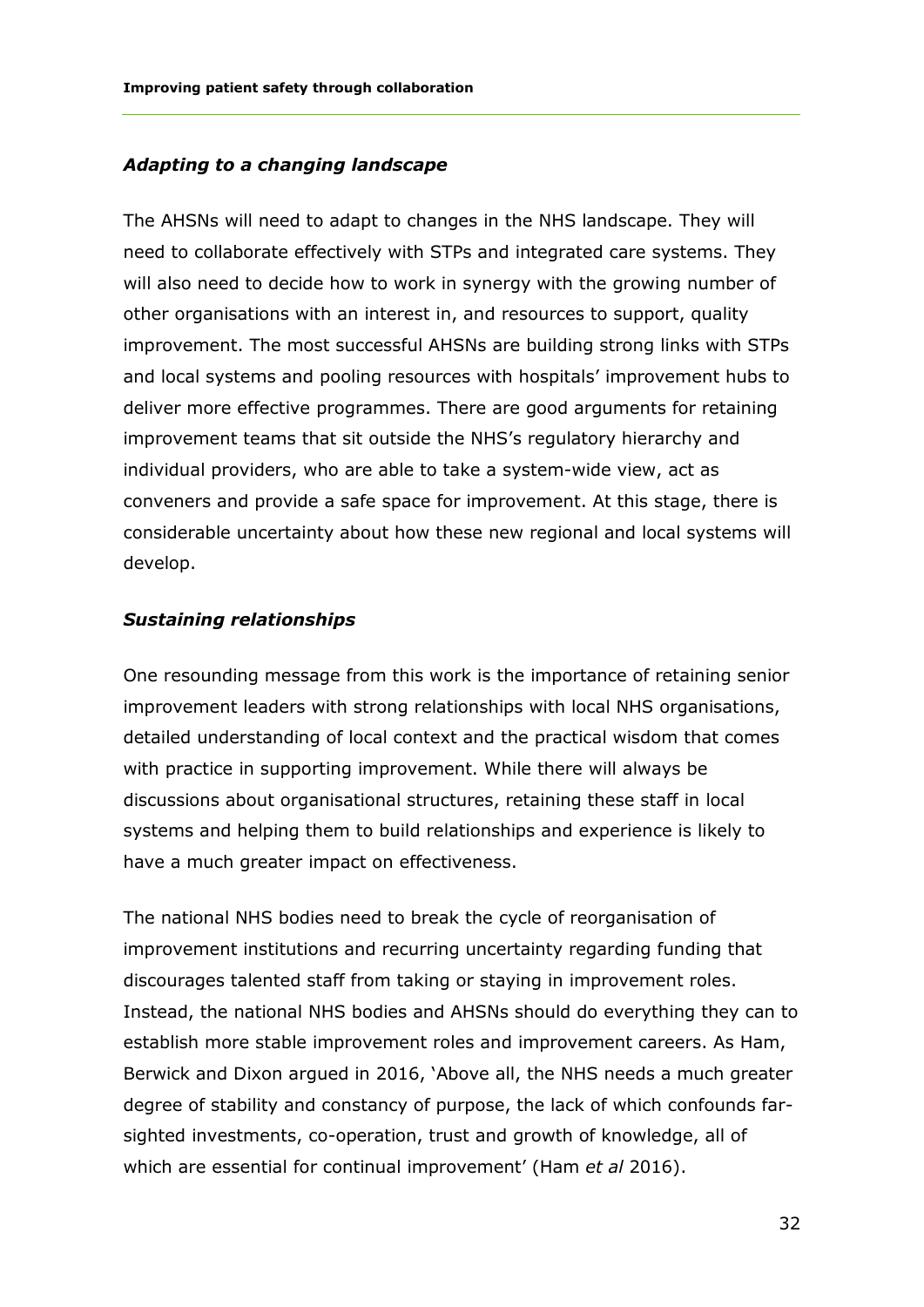#### *Adapting to a changing landscape*

The AHSNs will need to adapt to changes in the NHS landscape. They will need to collaborate effectively with STPs and integrated care systems. They will also need to decide how to work in synergy with the growing number of other organisations with an interest in, and resources to support, quality improvement. The most successful AHSNs are building strong links with STPs and local systems and pooling resources with hospitals' improvement hubs to deliver more effective programmes. There are good arguments for retaining improvement teams that sit outside the NHS's regulatory hierarchy and individual providers, who are able to take a system-wide view, act as conveners and provide a safe space for improvement. At this stage, there is considerable uncertainty about how these new regional and local systems will develop.

#### *Sustaining relationships*

One resounding message from this work is the importance of retaining senior improvement leaders with strong relationships with local NHS organisations, detailed understanding of local context and the practical wisdom that comes with practice in supporting improvement. While there will always be discussions about organisational structures, retaining these staff in local systems and helping them to build relationships and experience is likely to have a much greater impact on effectiveness.

The national NHS bodies need to break the cycle of reorganisation of improvement institutions and recurring uncertainty regarding funding that discourages talented staff from taking or staying in improvement roles. Instead, the national NHS bodies and AHSNs should do everything they can to establish more stable improvement roles and improvement careers. As Ham, Berwick and Dixon argued in 2016, 'Above all, the NHS needs a much greater degree of stability and constancy of purpose, the lack of which confounds farsighted investments, co-operation, trust and growth of knowledge, all of which are essential for continual improvement' (Ham *et al* 2016).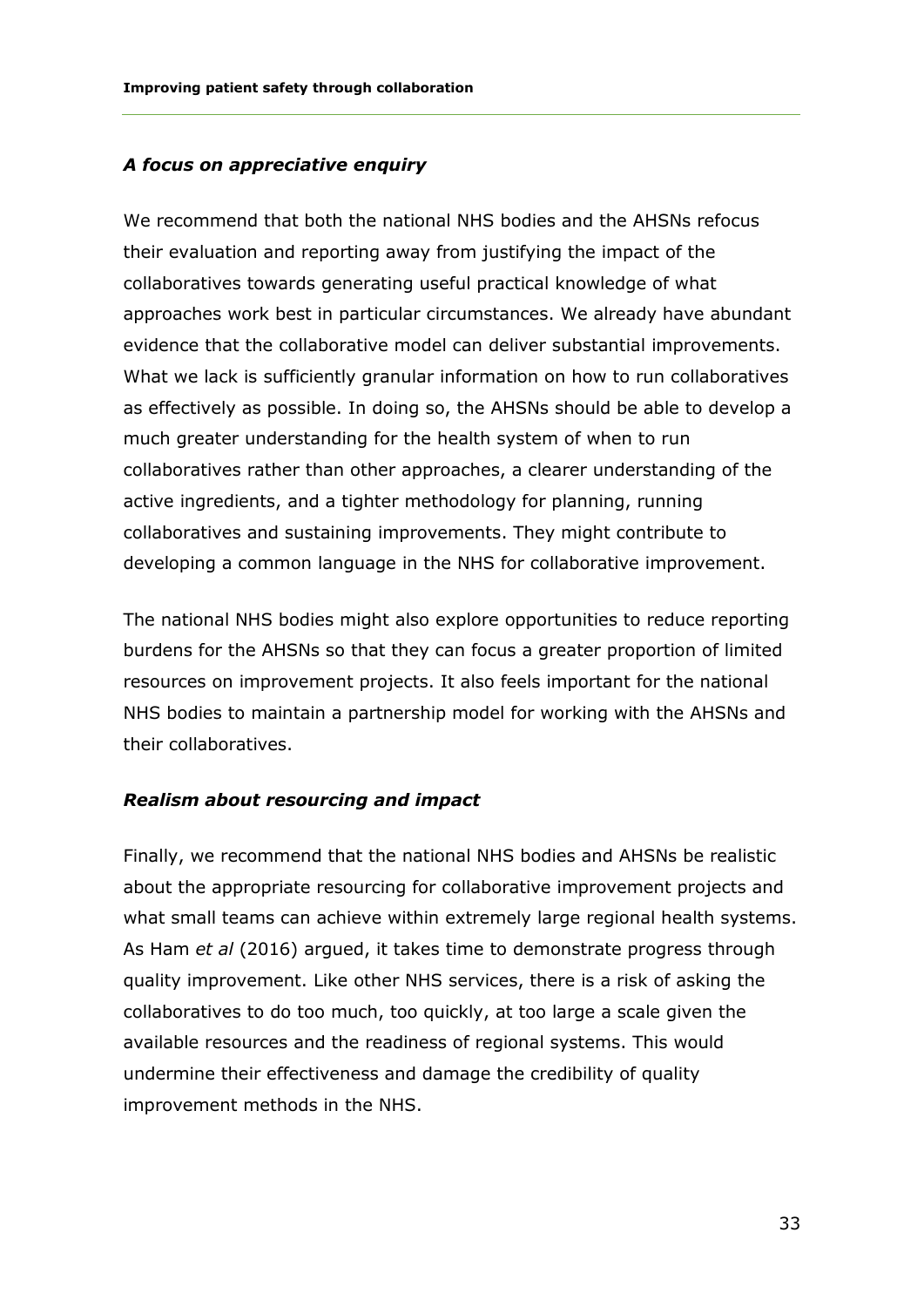#### *A focus on appreciative enquiry*

We recommend that both the national NHS bodies and the AHSNs refocus their evaluation and reporting away from justifying the impact of the collaboratives towards generating useful practical knowledge of what approaches work best in particular circumstances. We already have abundant evidence that the collaborative model can deliver substantial improvements. What we lack is sufficiently granular information on how to run collaboratives as effectively as possible. In doing so, the AHSNs should be able to develop a much greater understanding for the health system of when to run collaboratives rather than other approaches, a clearer understanding of the active ingredients, and a tighter methodology for planning, running collaboratives and sustaining improvements. They might contribute to developing a common language in the NHS for collaborative improvement.

The national NHS bodies might also explore opportunities to reduce reporting burdens for the AHSNs so that they can focus a greater proportion of limited resources on improvement projects. It also feels important for the national NHS bodies to maintain a partnership model for working with the AHSNs and their collaboratives.

#### *Realism about resourcing and impact*

Finally, we recommend that the national NHS bodies and AHSNs be realistic about the appropriate resourcing for collaborative improvement projects and what small teams can achieve within extremely large regional health systems. As Ham *et al* (2016) argued, it takes time to demonstrate progress through quality improvement. Like other NHS services, there is a risk of asking the collaboratives to do too much, too quickly, at too large a scale given the available resources and the readiness of regional systems. This would undermine their effectiveness and damage the credibility of quality improvement methods in the NHS.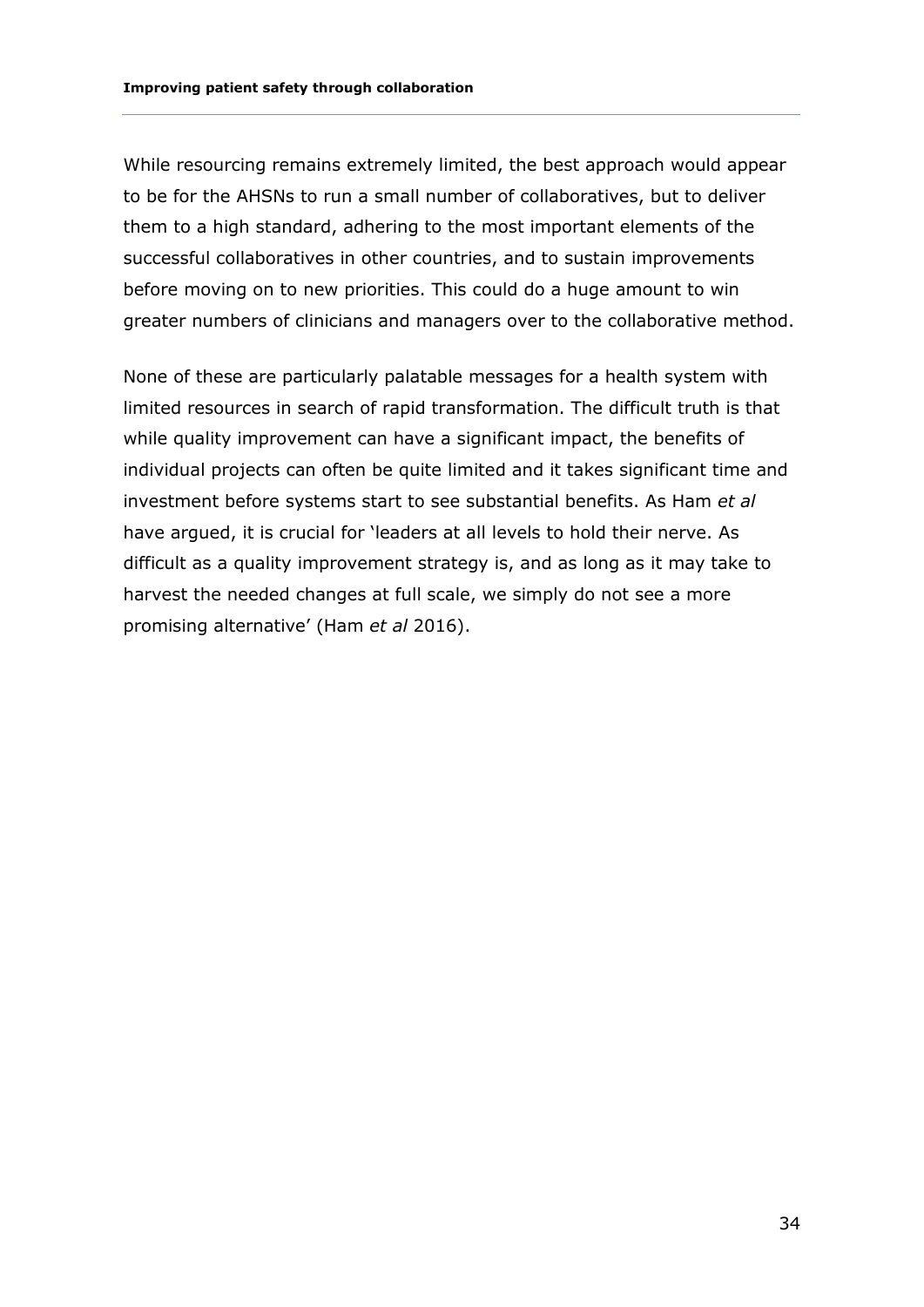#### While resourcing remains extremely limited, the best approach would appear to be for the AHSNs to run a small number of collaboratives, but to deliver them to a high standard, adhering to the most important elements of the successful collaboratives in other countries, and to sustain improvements before moving on to new priorities. This could do a huge amount to win greater numbers of clinicians and managers over to the collaborative method.

None of these are particularly palatable messages for a health system with limited resources in search of rapid transformation. The difficult truth is that while quality improvement can have a significant impact, the benefits of individual projects can often be quite limited and it takes significant time and investment before systems start to see substantial benefits. As Ham *et al* have argued, it is crucial for 'leaders at all levels to hold their nerve. As difficult as a quality improvement strategy is, and as long as it may take to harvest the needed changes at full scale, we simply do not see a more promising alternative' (Ham *et al* 2016).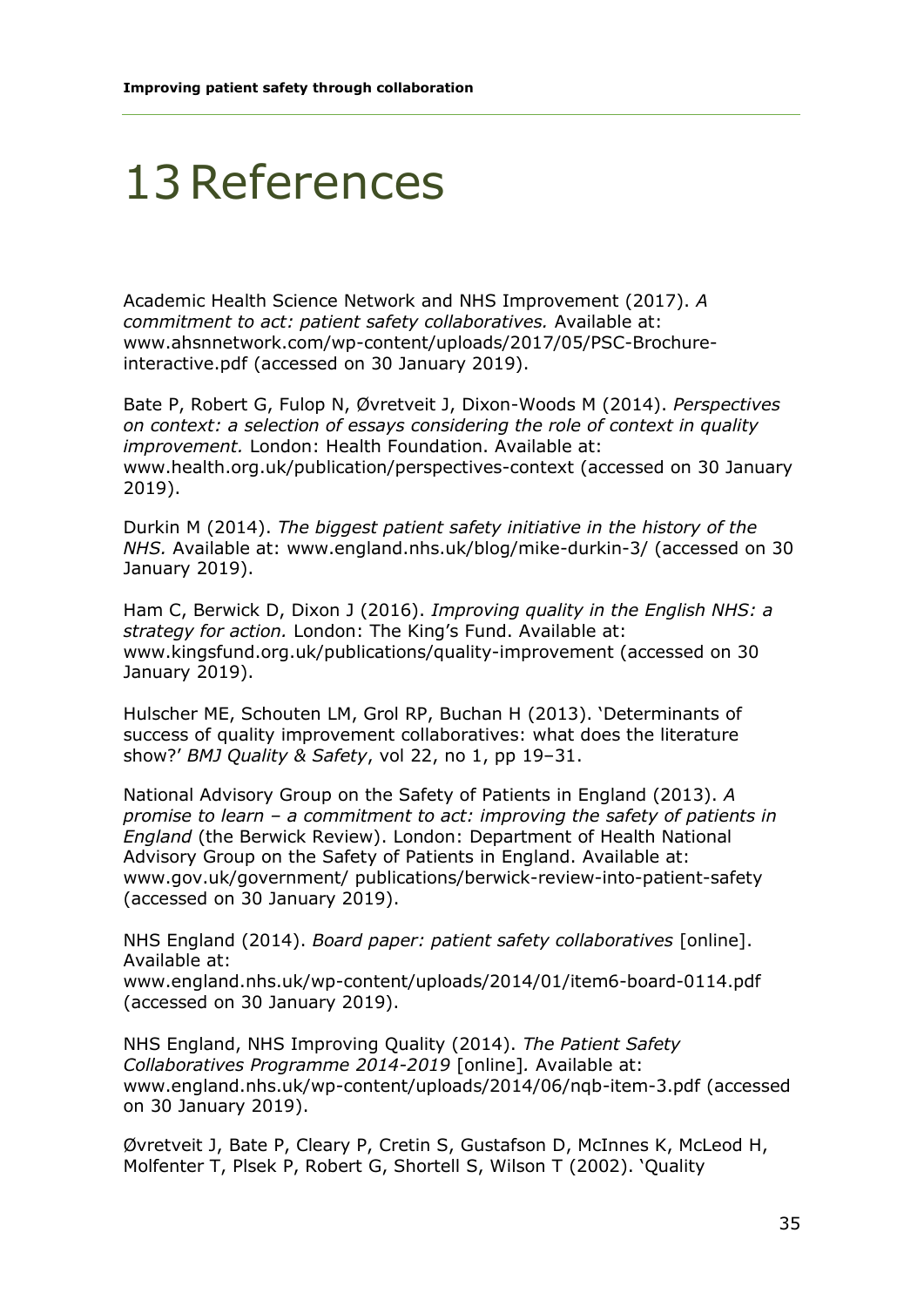#### 13References

Academic Health Science Network and NHS Improvement (2017). *A commitment to act: patient safety collaboratives.* Available at: [www.ahsnnetwork.com/wp-content/uploads/2017/05/PSC-Brochure](http://www.ahsnnetwork.com/wp-content/uploads/2017/05/PSC-Brochure-interactive.pdf)[interactive.pdf](http://www.ahsnnetwork.com/wp-content/uploads/2017/05/PSC-Brochure-interactive.pdf) (accessed on 30 January 2019).

Bate P, Robert G, Fulop N, Øvretveit J, Dixon-Woods M (2014). *Perspectives on context: a selection of essays considering the role of context in quality improvement.* London: Health Foundation. Available at: [www.health.org.uk/publication/perspectives-context](http://www.health.org.uk/publication/perspectives-context) (accessed on 30 January 2019).

Durkin M (2014). *The biggest patient safety initiative in the history of the NHS.* Available at: [www.england.nhs.uk/blog/mike-durkin-3/](http://www.england.nhs.uk/blog/mike-durkin-3/) (accessed on 30 January 2019).

Ham C, Berwick D, Dixon J (2016). *Improving quality in the English NHS: a strategy for action.* London: The King's Fund. Available at: [www.kingsfund.org.uk/publications/quality-improvement](http://www.kingsfund.org.uk/publications/quality-improvement) (accessed on 30 January 2019).

Hulscher ME, Schouten LM, Grol RP, Buchan H (2013). 'Determinants of success of quality improvement collaboratives: what does the literature show?' *BMJ Quality & Safety*, vol 22, no 1, pp 19–31.

National Advisory Group on the Safety of Patients in England (2013). *A promise to learn – a commitment to act: improving the safety of patients in England* (the Berwick Review). London: Department of Health National Advisory Group on the Safety of Patients in England. Available at: www.gov.uk/government/ publications/berwick-review-into-patient-safety (accessed on 30 January 2019).

NHS England (2014). *Board paper: patient safety collaboratives* [online]. Available at:

[www.england.nhs.uk/wp-content/uploads/2014/01/item6-board-0114.pdf](http://www.england.nhs.uk/wp-content/uploads/2014/01/item6-board-0114.pdf) (accessed on 30 January 2019).

NHS England, NHS Improving Quality (2014). *The Patient Safety Collaboratives Programme 2014-2019* [online]*.* Available at: [www.england.nhs.uk/wp-content/uploads/2014/06/nqb-item-3.pdf](http://www.england.nhs.uk/wp-content/uploads/2014/06/nqb-item-3.pdf) (accessed on 30 January 2019).

Øvretveit J, Bate P, Cleary P, Cretin S, Gustafson D, McInnes K, McLeod H, Molfenter T, Plsek P, Robert G, Shortell S, Wilson T (2002). 'Quality